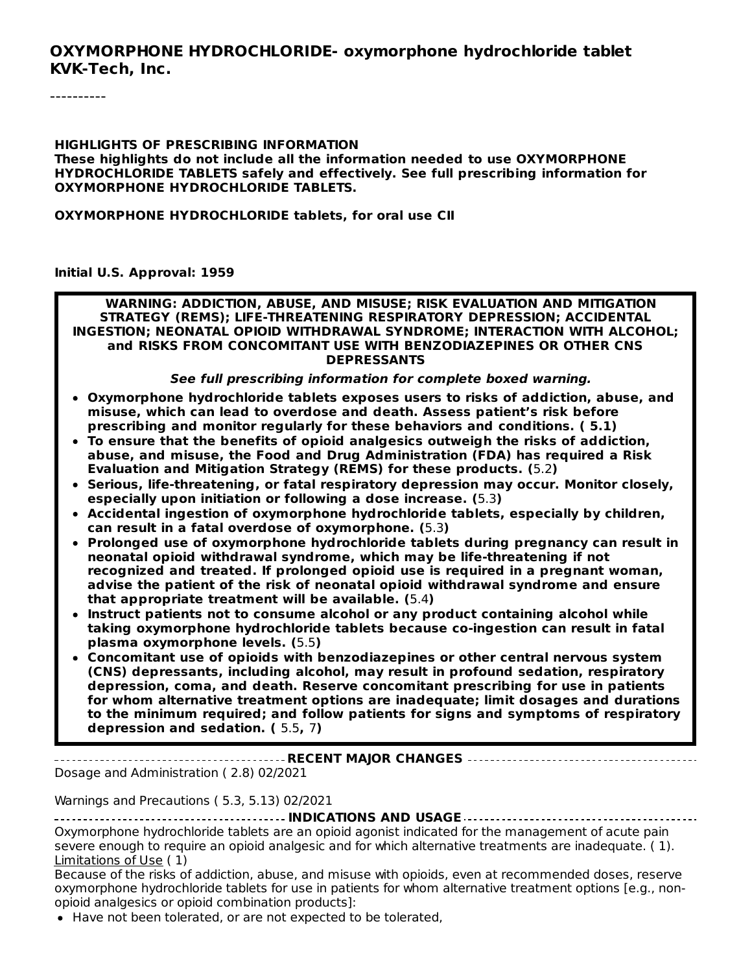#### **OXYMORPHONE HYDROCHLORIDE- oxymorphone hydrochloride tablet KVK-Tech, Inc.**

#### **HIGHLIGHTS OF PRESCRIBING INFORMATION These highlights do not include all the information needed to use OXYMORPHONE HYDROCHLORIDE TABLETS safely and effectively. See full prescribing information for OXYMORPHONE HYDROCHLORIDE TABLETS.**

**OXYMORPHONE HYDROCHLORIDE tablets, for oral use CII**

**Initial U.S. Approval: 1959**

**WARNING: ADDICTION, ABUSE, AND MISUSE; RISK EVALUATION AND MITIGATION STRATEGY (REMS); LIFE-THREATENING RESPIRATORY DEPRESSION; ACCIDENTAL INGESTION; NEONATAL OPIOID WITHDRAWAL SYNDROME; INTERACTION WITH ALCOHOL; and RISKS FROM CONCOMITANT USE WITH BENZODIAZEPINES OR OTHER CNS DEPRESSANTS**

**See full prescribing information for complete boxed warning.**

- **Oxymorphone hydrochloride tablets exposes users to risks of addiction, abuse, and misuse, which can lead to overdose and death. Assess patient's risk before prescribing and monitor regularly for these behaviors and conditions. ( 5.1)**
- **To ensure that the benefits of opioid analgesics outweigh the risks of addiction, abuse, and misuse, the Food and Drug Administration (FDA) has required a Risk Evaluation and Mitigation Strategy (REMS) for these products. (**5.2**)**
- **Serious, life-threatening, or fatal respiratory depression may occur. Monitor closely, especially upon initiation or following a dose increase. (**5.3**)**
- **Accidental ingestion of oxymorphone hydrochloride tablets, especially by children, can result in a fatal overdose of oxymorphone. (**5.3**)**
- **Prolonged use of oxymorphone hydrochloride tablets during pregnancy can result in neonatal opioid withdrawal syndrome, which may be life-threatening if not recognized and treated. If prolonged opioid use is required in a pregnant woman, advise the patient of the risk of neonatal opioid withdrawal syndrome and ensure that appropriate treatment will be available. (**5.4**)**
- **Instruct patients not to consume alcohol or any product containing alcohol while taking oxymorphone hydrochloride tablets because co-ingestion can result in fatal plasma oxymorphone levels. (**5.5**)**
- **Concomitant use of opioids with benzodiazepines or other central nervous system (CNS) depressants, including alcohol, may result in profound sedation, respiratory depression, coma, and death. Reserve concomitant prescribing for use in patients for whom alternative treatment options are inadequate; limit dosages and durations to the minimum required; and follow patients for signs and symptoms of respiratory depression and sedation. (** 5.5**,** 7**)**

**RECENT MAJOR CHANGES** Dosage and Administration ( 2.8) 02/2021

Warnings and Precautions ( 5.3, 5.13) 02/2021

**INDICATIONS AND USAGE**

Oxymorphone hydrochloride tablets are an opioid agonist indicated for the management of acute pain severe enough to require an opioid analgesic and for which alternative treatments are inadequate. ( 1). Limitations of Use ( 1)

Because of the risks of addiction, abuse, and misuse with opioids, even at recommended doses, reserve oxymorphone hydrochloride tablets for use in patients for whom alternative treatment options [e.g., nonopioid analgesics or opioid combination products]:

Have not been tolerated, or are not expected to be tolerated,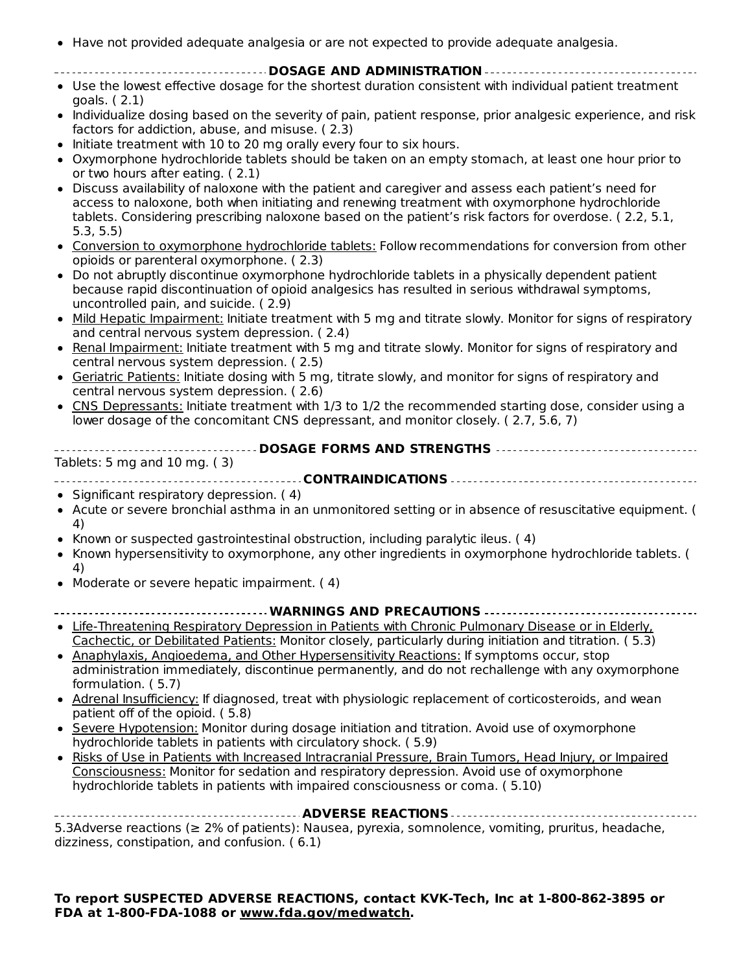- Have not provided adequate analgesia or are not expected to provide adequate analgesia.
	- **DOSAGE AND ADMINISTRATION**
- Use the lowest effective dosage for the shortest duration consistent with individual patient treatment goals. ( 2.1)
- Individualize dosing based on the severity of pain, patient response, prior analgesic experience, and risk  $\bullet$ factors for addiction, abuse, and misuse. ( 2.3)
- Initiate treatment with 10 to 20 mg orally every four to six hours.
- Oxymorphone hydrochloride tablets should be taken on an empty stomach, at least one hour prior to or two hours after eating. ( 2.1)
- Discuss availability of naloxone with the patient and caregiver and assess each patient's need for access to naloxone, both when initiating and renewing treatment with oxymorphone hydrochloride tablets. Considering prescribing naloxone based on the patient's risk factors for overdose. ( 2.2, 5.1, 5.3, 5.5)
- Conversion to oxymorphone hydrochloride tablets: Follow recommendations for conversion from other opioids or parenteral oxymorphone. ( 2.3)
- Do not abruptly discontinue oxymorphone hydrochloride tablets in a physically dependent patient because rapid discontinuation of opioid analgesics has resulted in serious withdrawal symptoms, uncontrolled pain, and suicide. ( 2.9)
- Mild Hepatic Impairment: Initiate treatment with 5 mg and titrate slowly. Monitor for signs of respiratory  $\bullet$ and central nervous system depression. ( 2.4)
- Renal Impairment: Initiate treatment with 5 mg and titrate slowly. Monitor for signs of respiratory and  $\bullet$ central nervous system depression. ( 2.5)
- Geriatric Patients: Initiate dosing with 5 mg, titrate slowly, and monitor for signs of respiratory and central nervous system depression. ( 2.6)
- CNS Depressants: Initiate treatment with 1/3 to 1/2 the recommended starting dose, consider using a  $\bullet$ lower dosage of the concomitant CNS depressant, and monitor closely. ( 2.7, 5.6, 7)

| Tablets: 5 mg and 10 mg. $(3)$ |  |  |  |
|--------------------------------|--|--|--|
|                                |  |  |  |

- Significant respiratory depression. (4)
- Acute or severe bronchial asthma in an unmonitored setting or in absence of resuscitative equipment. (  $\bullet$ 4)
- Known or suspected gastrointestinal obstruction, including paralytic ileus. ( 4)  $\bullet$
- Known hypersensitivity to oxymorphone, any other ingredients in oxymorphone hydrochloride tablets. (  $\bullet$ 4)
- Moderate or severe hepatic impairment. ( 4)  $\bullet$

**WARNINGS AND PRECAUTIONS**

- Life-Threatening Respiratory Depression in Patients with Chronic Pulmonary Disease or in Elderly, Cachectic, or Debilitated Patients: Monitor closely, particularly during initiation and titration. ( 5.3)
- Anaphylaxis, Angioedema, and Other Hypersensitivity Reactions: If symptoms occur, stop administration immediately, discontinue permanently, and do not rechallenge with any oxymorphone formulation. ( 5.7)
- Adrenal Insufficiency: If diagnosed, treat with physiologic replacement of corticosteroids, and wean patient off of the opioid. ( 5.8)
- Severe Hypotension: Monitor during dosage initiation and titration. Avoid use of oxymorphone hydrochloride tablets in patients with circulatory shock. ( 5.9)
- Risks of Use in Patients with Increased Intracranial Pressure, Brain Tumors, Head Injury, or Impaired Consciousness: Monitor for sedation and respiratory depression. Avoid use of oxymorphone hydrochloride tablets in patients with impaired consciousness or coma. ( 5.10)

**ADVERSE REACTIONS** 5.3Adverse reactions (≥ 2% of patients): Nausea, pyrexia, somnolence, vomiting, pruritus, headache, dizziness, constipation, and confusion. ( 6.1)

#### **To report SUSPECTED ADVERSE REACTIONS, contact KVK-Tech, Inc at 1-800-862-3895 or FDA at 1-800-FDA-1088 or www.fda.gov/medwatch.**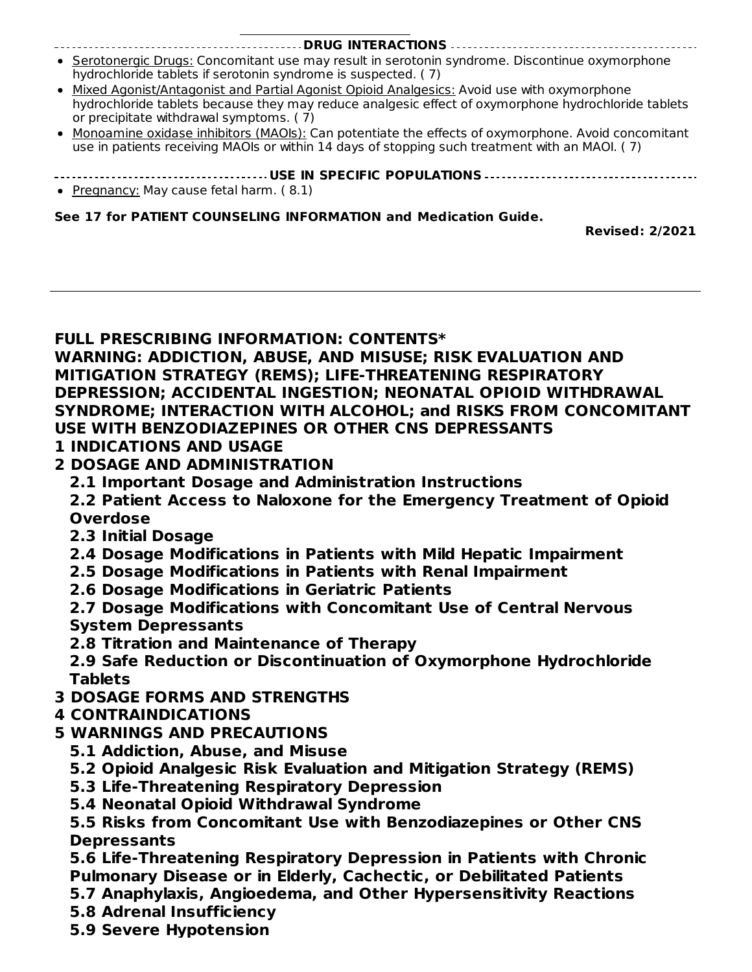- **DRUG INTERACTIONS Serotonergic Drugs: Concomitant use may result in serotonin syndrome. Discontinue oxymorphone** hydrochloride tablets if serotonin syndrome is suspected. ( 7)
- Mixed Agonist/Antagonist and Partial Agonist Opioid Analgesics: Avoid use with oxymorphone hydrochloride tablets because they may reduce analgesic effect of oxymorphone hydrochloride tablets or precipitate withdrawal symptoms. ( 7)
- Monoamine oxidase inhibitors (MAOIs): Can potentiate the effects of oxymorphone. Avoid concomitant use in patients receiving MAOIs or within 14 days of stopping such treatment with an MAOI. ( 7)
	- **USE IN SPECIFIC POPULATIONS**
- Pregnancy: May cause fetal harm.  $(8.1)$

**See 17 for PATIENT COUNSELING INFORMATION and Medication Guide.**

**Revised: 2/2021**

#### **FULL PRESCRIBING INFORMATION: CONTENTS\***

**FDA at 1-800-FDA-1088 or www.fda.gov/medwatch.**

**WARNING: ADDICTION, ABUSE, AND MISUSE; RISK EVALUATION AND MITIGATION STRATEGY (REMS); LIFE-THREATENING RESPIRATORY DEPRESSION; ACCIDENTAL INGESTION; NEONATAL OPIOID WITHDRAWAL SYNDROME; INTERACTION WITH ALCOHOL; and RISKS FROM CONCOMITANT USE WITH BENZODIAZEPINES OR OTHER CNS DEPRESSANTS**

- **1 INDICATIONS AND USAGE**
- **2 DOSAGE AND ADMINISTRATION**
	- **2.1 Important Dosage and Administration Instructions**
	- **2.2 Patient Access to Naloxone for the Emergency Treatment of Opioid Overdose**
	- **2.3 Initial Dosage**
	- **2.4 Dosage Modifications in Patients with Mild Hepatic Impairment**
	- **2.5 Dosage Modifications in Patients with Renal Impairment**
	- **2.6 Dosage Modifications in Geriatric Patients**
	- **2.7 Dosage Modifications with Concomitant Use of Central Nervous**
	- **System Depressants**
	- **2.8 Titration and Maintenance of Therapy**
	- **2.9 Safe Reduction or Discontinuation of Oxymorphone Hydrochloride Tablets**
- **3 DOSAGE FORMS AND STRENGTHS**
- **4 CONTRAINDICATIONS**
- **5 WARNINGS AND PRECAUTIONS**
	- **5.1 Addiction, Abuse, and Misuse**
	- **5.2 Opioid Analgesic Risk Evaluation and Mitigation Strategy (REMS)**
	- **5.3 Life-Threatening Respiratory Depression**
	- **5.4 Neonatal Opioid Withdrawal Syndrome**

**5.5 Risks from Concomitant Use with Benzodiazepines or Other CNS Depressants**

**5.6 Life-Threatening Respiratory Depression in Patients with Chronic Pulmonary Disease or in Elderly, Cachectic, or Debilitated Patients**

- **5.7 Anaphylaxis, Angioedema, and Other Hypersensitivity Reactions**
- **5.8 Adrenal Insufficiency**
- **5.9 Severe Hypotension**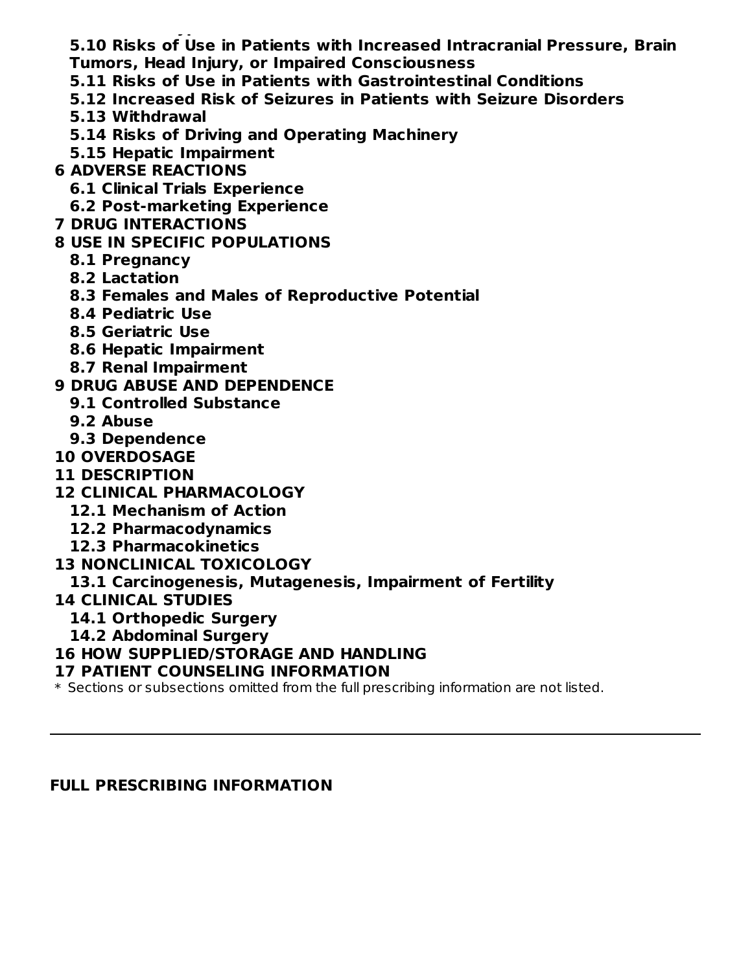**5.9 Severe Hypotension 5.10 Risks of Use in Patients with Increased Intracranial Pressure, Brain Tumors, Head Injury, or Impaired Consciousness**

- **5.11 Risks of Use in Patients with Gastrointestinal Conditions**
- **5.12 Increased Risk of Seizures in Patients with Seizure Disorders**
- **5.13 Withdrawal**
- **5.14 Risks of Driving and Operating Machinery**
- **5.15 Hepatic Impairment**

### **6 ADVERSE REACTIONS**

- **6.1 Clinical Trials Experience**
- **6.2 Post-marketing Experience**
- **7 DRUG INTERACTIONS**

## **8 USE IN SPECIFIC POPULATIONS**

- **8.1 Pregnancy**
- **8.2 Lactation**
- **8.3 Females and Males of Reproductive Potential**
- **8.4 Pediatric Use**
- **8.5 Geriatric Use**
- **8.6 Hepatic Impairment**
- **8.7 Renal Impairment**

## **9 DRUG ABUSE AND DEPENDENCE**

- **9.1 Controlled Substance**
- **9.2 Abuse**
- **9.3 Dependence**
- **10 OVERDOSAGE**
- **11 DESCRIPTION**
- **12 CLINICAL PHARMACOLOGY**
	- **12.1 Mechanism of Action**
	- **12.2 Pharmacodynamics**
	- **12.3 Pharmacokinetics**
- **13 NONCLINICAL TOXICOLOGY**

## **13.1 Carcinogenesis, Mutagenesis, Impairment of Fertility**

- **14 CLINICAL STUDIES**
	- **14.1 Orthopedic Surgery**
	- **14.2 Abdominal Surgery**

#### **16 HOW SUPPLIED/STORAGE AND HANDLING**

#### **17 PATIENT COUNSELING INFORMATION**

 $\ast$  Sections or subsections omitted from the full prescribing information are not listed.

## **FULL PRESCRIBING INFORMATION**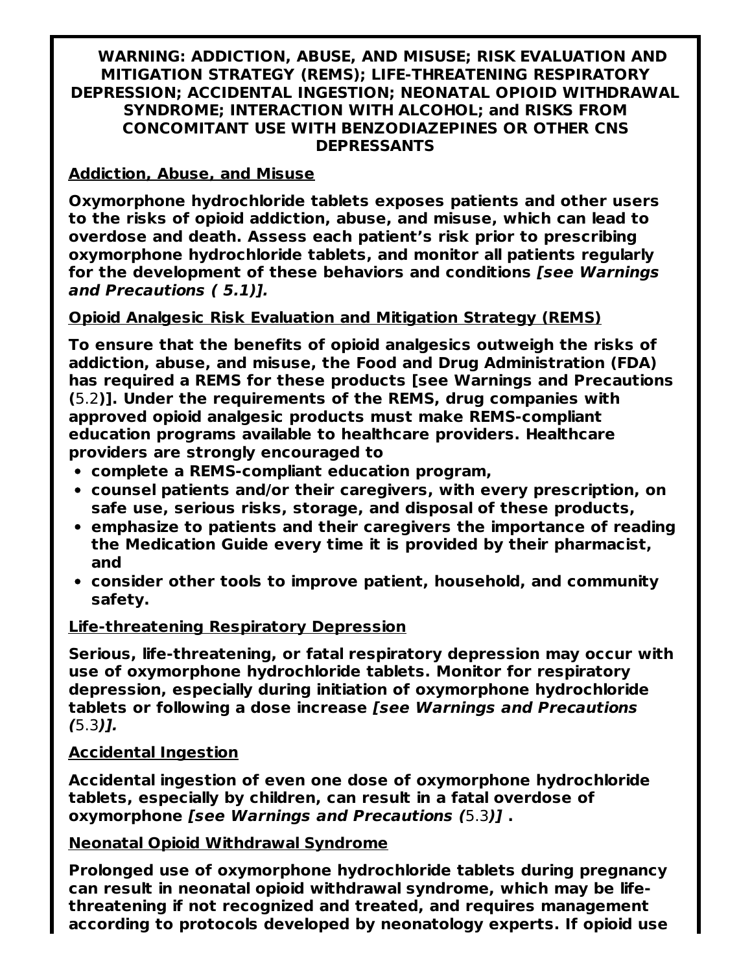#### **WARNING: ADDICTION, ABUSE, AND MISUSE; RISK EVALUATION AND MITIGATION STRATEGY (REMS); LIFE-THREATENING RESPIRATORY DEPRESSION; ACCIDENTAL INGESTION; NEONATAL OPIOID WITHDRAWAL SYNDROME; INTERACTION WITH ALCOHOL; and RISKS FROM CONCOMITANT USE WITH BENZODIAZEPINES OR OTHER CNS DEPRESSANTS**

#### **Addiction, Abuse, and Misuse**

**Oxymorphone hydrochloride tablets exposes patients and other users to the risks of opioid addiction, abuse, and misuse, which can lead to overdose and death. Assess each patient's risk prior to prescribing oxymorphone hydrochloride tablets, and monitor all patients regularly for the development of these behaviors and conditions [see Warnings and Precautions ( 5.1)].**

#### **Opioid Analgesic Risk Evaluation and Mitigation Strategy (REMS)**

**To ensure that the benefits of opioid analgesics outweigh the risks of addiction, abuse, and misuse, the Food and Drug Administration (FDA) has required a REMS for these products [see Warnings and Precautions (**5.2**)]. Under the requirements of the REMS, drug companies with approved opioid analgesic products must make REMS-compliant education programs available to healthcare providers. Healthcare providers are strongly encouraged to**

- **complete a REMS-compliant education program,**
- **counsel patients and/or their caregivers, with every prescription, on safe use, serious risks, storage, and disposal of these products,**
- **emphasize to patients and their caregivers the importance of reading the Medication Guide every time it is provided by their pharmacist, and**
- **consider other tools to improve patient, household, and community safety.**

#### **Life-threatening Respiratory Depression**

**Serious, life-threatening, or fatal respiratory depression may occur with use of oxymorphone hydrochloride tablets. Monitor for respiratory depression, especially during initiation of oxymorphone hydrochloride tablets or following a dose increase [see Warnings and Precautions (**5.3**)].**

#### **Accidental Ingestion**

**Accidental ingestion of even one dose of oxymorphone hydrochloride tablets, especially by children, can result in a fatal overdose of oxymorphone [see Warnings and Precautions (**5.3**)] .**

#### **Neonatal Opioid Withdrawal Syndrome**

**Prolonged use of oxymorphone hydrochloride tablets during pregnancy can result in neonatal opioid withdrawal syndrome, which may be lifethreatening if not recognized and treated, and requires management according to protocols developed by neonatology experts. If opioid use**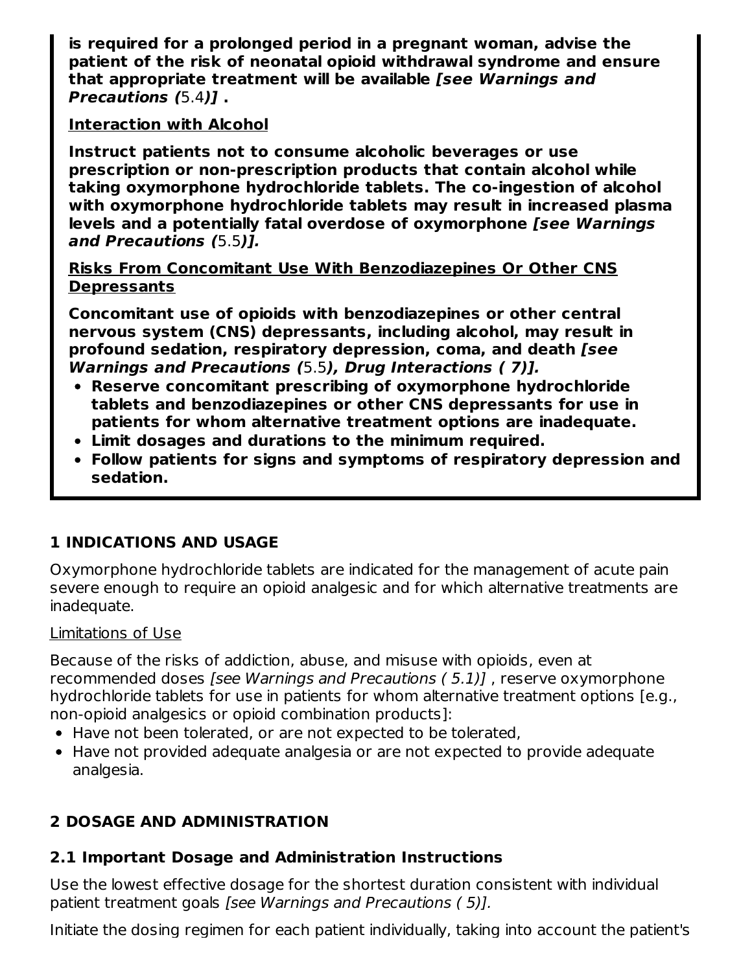**is required for a prolonged period in a pregnant woman, advise the patient of the risk of neonatal opioid withdrawal syndrome and ensure that appropriate treatment will be available [see Warnings and Precautions (**5.4**)] .**

### **Interaction with Alcohol**

**Instruct patients not to consume alcoholic beverages or use prescription or non-prescription products that contain alcohol while taking oxymorphone hydrochloride tablets. The co-ingestion of alcohol with oxymorphone hydrochloride tablets may result in increased plasma levels and a potentially fatal overdose of oxymorphone [see Warnings and Precautions (**5.5**)].**

#### **Risks From Concomitant Use With Benzodiazepines Or Other CNS Depressants**

**Concomitant use of opioids with benzodiazepines or other central nervous system (CNS) depressants, including alcohol, may result in profound sedation, respiratory depression, coma, and death [see Warnings and Precautions (**5.5**), Drug Interactions ( 7)].**

- **Reserve concomitant prescribing of oxymorphone hydrochloride tablets and benzodiazepines or other CNS depressants for use in patients for whom alternative treatment options are inadequate.**
- **Limit dosages and durations to the minimum required.**
- **Follow patients for signs and symptoms of respiratory depression and sedation.**

# **1 INDICATIONS AND USAGE**

Oxymorphone hydrochloride tablets are indicated for the management of acute pain severe enough to require an opioid analgesic and for which alternative treatments are inadequate.

## Limitations of Use

Because of the risks of addiction, abuse, and misuse with opioids, even at recommended doses [see Warnings and Precautions ( 5.1)] , reserve oxymorphone hydrochloride tablets for use in patients for whom alternative treatment options [e.g., non-opioid analgesics or opioid combination products]:

- Have not been tolerated, or are not expected to be tolerated,
- Have not provided adequate analgesia or are not expected to provide adequate analgesia.

# **2 DOSAGE AND ADMINISTRATION**

# **2.1 Important Dosage and Administration Instructions**

Use the lowest effective dosage for the shortest duration consistent with individual patient treatment goals [see Warnings and Precautions ( 5)].

Initiate the dosing regimen for each patient individually, taking into account the patient's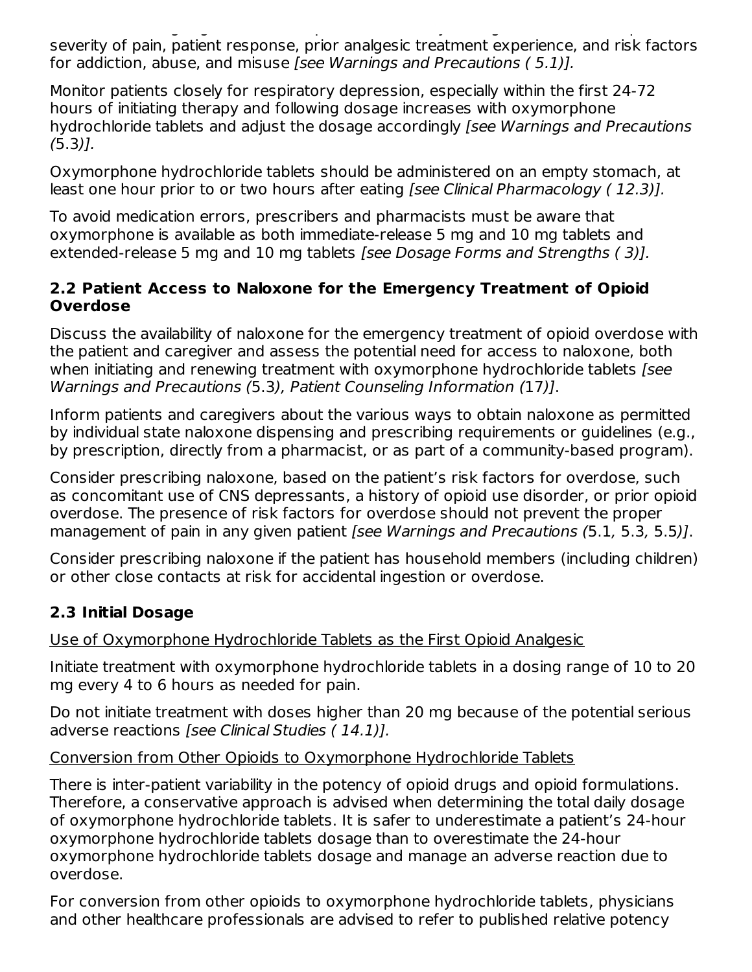Initiate the dosing regimen for each patient individually, taking into account the patient's severity of pain, patient response, prior analgesic treatment experience, and risk factors for addiction, abuse, and misuse [see Warnings and Precautions ( 5.1)].

Monitor patients closely for respiratory depression, especially within the first 24-72 hours of initiating therapy and following dosage increases with oxymorphone hydrochloride tablets and adjust the dosage accordingly [see Warnings and Precautions (5.3)].

Oxymorphone hydrochloride tablets should be administered on an empty stomach, at least one hour prior to or two hours after eating [see Clinical Pharmacology (12.3)].

To avoid medication errors, prescribers and pharmacists must be aware that oxymorphone is available as both immediate-release 5 mg and 10 mg tablets and extended-release 5 mg and 10 mg tablets [see Dosage Forms and Strengths (3)].

## **2.2 Patient Access to Naloxone for the Emergency Treatment of Opioid Overdose**

Discuss the availability of naloxone for the emergency treatment of opioid overdose with the patient and caregiver and assess the potential need for access to naloxone, both when initiating and renewing treatment with oxymorphone hydrochloride tablets [see Warnings and Precautions (5.3), Patient Counseling Information (17)].

Inform patients and caregivers about the various ways to obtain naloxone as permitted by individual state naloxone dispensing and prescribing requirements or guidelines (e.g., by prescription, directly from a pharmacist, or as part of a community-based program).

Consider prescribing naloxone, based on the patient's risk factors for overdose, such as concomitant use of CNS depressants, a history of opioid use disorder, or prior opioid overdose. The presence of risk factors for overdose should not prevent the proper management of pain in any given patient [see Warnings and Precautions (5.1, 5.3, 5.5)].

Consider prescribing naloxone if the patient has household members (including children) or other close contacts at risk for accidental ingestion or overdose.

# **2.3 Initial Dosage**

## Use of Oxymorphone Hydrochloride Tablets as the First Opioid Analgesic

Initiate treatment with oxymorphone hydrochloride tablets in a dosing range of 10 to 20 mg every 4 to 6 hours as needed for pain.

Do not initiate treatment with doses higher than 20 mg because of the potential serious adverse reactions [see Clinical Studies ( 14.1)].

## Conversion from Other Opioids to Oxymorphone Hydrochloride Tablets

There is inter-patient variability in the potency of opioid drugs and opioid formulations. Therefore, a conservative approach is advised when determining the total daily dosage of oxymorphone hydrochloride tablets. It is safer to underestimate a patient's 24-hour oxymorphone hydrochloride tablets dosage than to overestimate the 24-hour oxymorphone hydrochloride tablets dosage and manage an adverse reaction due to overdose.

For conversion from other opioids to oxymorphone hydrochloride tablets, physicians and other healthcare professionals are advised to refer to published relative potency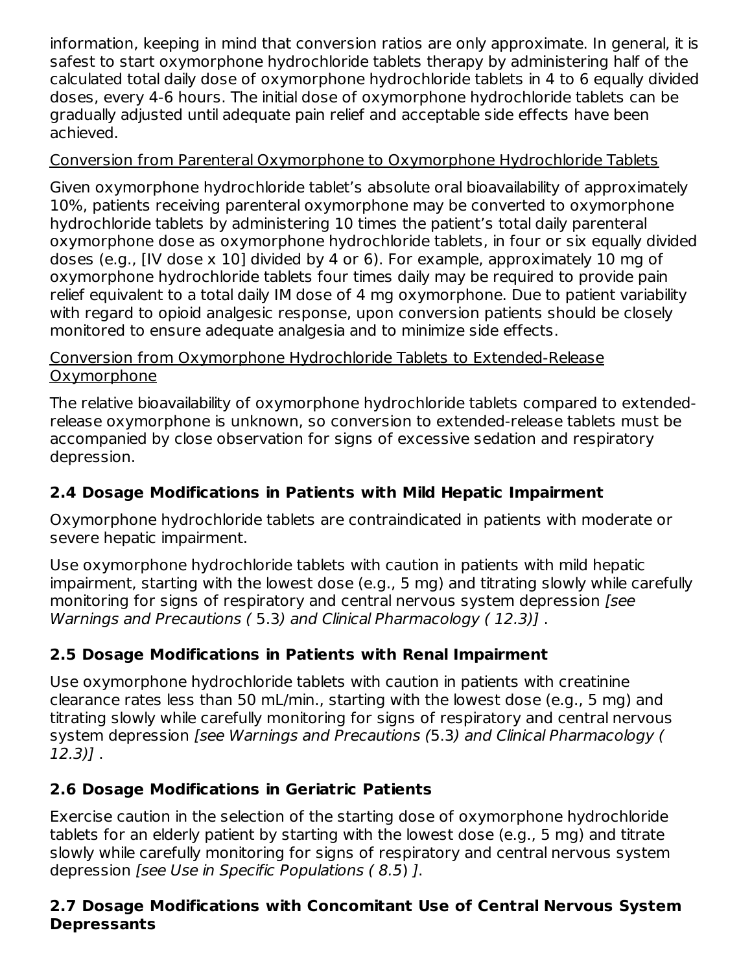information, keeping in mind that conversion ratios are only approximate. In general, it is safest to start oxymorphone hydrochloride tablets therapy by administering half of the calculated total daily dose of oxymorphone hydrochloride tablets in 4 to 6 equally divided doses, every 4-6 hours. The initial dose of oxymorphone hydrochloride tablets can be gradually adjusted until adequate pain relief and acceptable side effects have been achieved.

## Conversion from Parenteral Oxymorphone to Oxymorphone Hydrochloride Tablets

Given oxymorphone hydrochloride tablet's absolute oral bioavailability of approximately 10%, patients receiving parenteral oxymorphone may be converted to oxymorphone hydrochloride tablets by administering 10 times the patient's total daily parenteral oxymorphone dose as oxymorphone hydrochloride tablets, in four or six equally divided doses (e.g., [IV dose x 10] divided by 4 or 6). For example, approximately 10 mg of oxymorphone hydrochloride tablets four times daily may be required to provide pain relief equivalent to a total daily IM dose of 4 mg oxymorphone. Due to patient variability with regard to opioid analgesic response, upon conversion patients should be closely monitored to ensure adequate analgesia and to minimize side effects.

## Conversion from Oxymorphone Hydrochloride Tablets to Extended-Release **Oxymorphone**

The relative bioavailability of oxymorphone hydrochloride tablets compared to extendedrelease oxymorphone is unknown, so conversion to extended-release tablets must be accompanied by close observation for signs of excessive sedation and respiratory depression.

# **2.4 Dosage Modifications in Patients with Mild Hepatic Impairment**

Oxymorphone hydrochloride tablets are contraindicated in patients with moderate or severe hepatic impairment.

Use oxymorphone hydrochloride tablets with caution in patients with mild hepatic impairment, starting with the lowest dose (e.g., 5 mg) and titrating slowly while carefully monitoring for signs of respiratory and central nervous system depression [see Warnings and Precautions ( 5.3) and Clinical Pharmacology ( 12.3)] .

# **2.5 Dosage Modifications in Patients with Renal Impairment**

Use oxymorphone hydrochloride tablets with caution in patients with creatinine clearance rates less than 50 mL/min., starting with the lowest dose (e.g., 5 mg) and titrating slowly while carefully monitoring for signs of respiratory and central nervous system depression [see Warnings and Precautions (5.3) and Clinical Pharmacology ( 12.3)] .

# **2.6 Dosage Modifications in Geriatric Patients**

Exercise caution in the selection of the starting dose of oxymorphone hydrochloride tablets for an elderly patient by starting with the lowest dose (e.g., 5 mg) and titrate slowly while carefully monitoring for signs of respiratory and central nervous system depression [see Use in Specific Populations ( 8.5) ].

## **2.7 Dosage Modifications with Concomitant Use of Central Nervous System Depressants**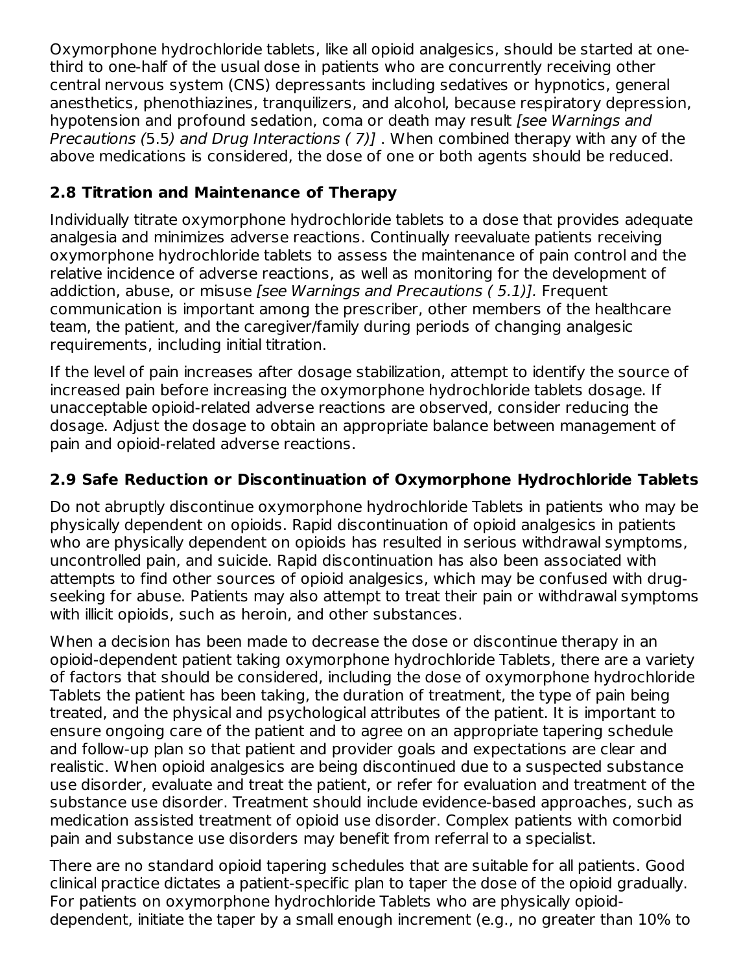Oxymorphone hydrochloride tablets, like all opioid analgesics, should be started at onethird to one-half of the usual dose in patients who are concurrently receiving other central nervous system (CNS) depressants including sedatives or hypnotics, general anesthetics, phenothiazines, tranquilizers, and alcohol, because respiratory depression, hypotension and profound sedation, coma or death may result *[see Warnings and* Precautions (5.5) and Drug Interactions ( 7)] . When combined therapy with any of the above medications is considered, the dose of one or both agents should be reduced.

# **2.8 Titration and Maintenance of Therapy**

Individually titrate oxymorphone hydrochloride tablets to a dose that provides adequate analgesia and minimizes adverse reactions. Continually reevaluate patients receiving oxymorphone hydrochloride tablets to assess the maintenance of pain control and the relative incidence of adverse reactions, as well as monitoring for the development of addiction, abuse, or misuse [see Warnings and Precautions (5.1)]. Frequent communication is important among the prescriber, other members of the healthcare team, the patient, and the caregiver/family during periods of changing analgesic requirements, including initial titration.

If the level of pain increases after dosage stabilization, attempt to identify the source of increased pain before increasing the oxymorphone hydrochloride tablets dosage. If unacceptable opioid-related adverse reactions are observed, consider reducing the dosage. Adjust the dosage to obtain an appropriate balance between management of pain and opioid-related adverse reactions.

## **2.9 Safe Reduction or Discontinuation of Oxymorphone Hydrochloride Tablets**

Do not abruptly discontinue oxymorphone hydrochloride Tablets in patients who may be physically dependent on opioids. Rapid discontinuation of opioid analgesics in patients who are physically dependent on opioids has resulted in serious withdrawal symptoms, uncontrolled pain, and suicide. Rapid discontinuation has also been associated with attempts to find other sources of opioid analgesics, which may be confused with drugseeking for abuse. Patients may also attempt to treat their pain or withdrawal symptoms with illicit opioids, such as heroin, and other substances.

When a decision has been made to decrease the dose or discontinue therapy in an opioid-dependent patient taking oxymorphone hydrochloride Tablets, there are a variety of factors that should be considered, including the dose of oxymorphone hydrochloride Tablets the patient has been taking, the duration of treatment, the type of pain being treated, and the physical and psychological attributes of the patient. It is important to ensure ongoing care of the patient and to agree on an appropriate tapering schedule and follow-up plan so that patient and provider goals and expectations are clear and realistic. When opioid analgesics are being discontinued due to a suspected substance use disorder, evaluate and treat the patient, or refer for evaluation and treatment of the substance use disorder. Treatment should include evidence-based approaches, such as medication assisted treatment of opioid use disorder. Complex patients with comorbid pain and substance use disorders may benefit from referral to a specialist.

There are no standard opioid tapering schedules that are suitable for all patients. Good clinical practice dictates a patient-specific plan to taper the dose of the opioid gradually. For patients on oxymorphone hydrochloride Tablets who are physically opioiddependent, initiate the taper by a small enough increment (e.g., no greater than 10% to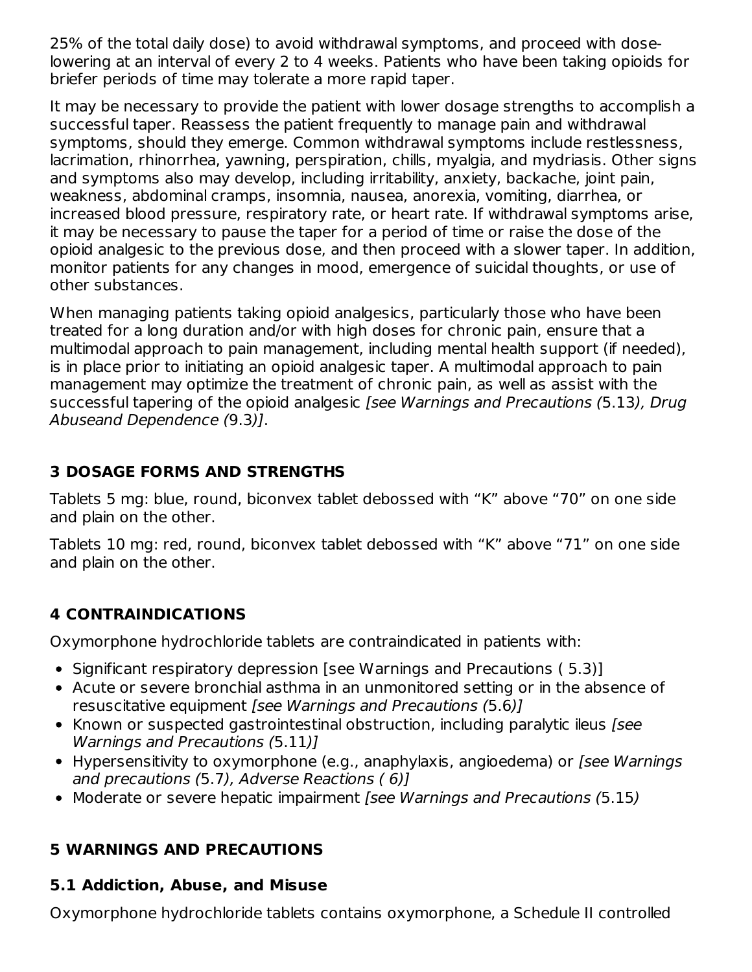25% of the total daily dose) to avoid withdrawal symptoms, and proceed with doselowering at an interval of every 2 to 4 weeks. Patients who have been taking opioids for briefer periods of time may tolerate a more rapid taper.

It may be necessary to provide the patient with lower dosage strengths to accomplish a successful taper. Reassess the patient frequently to manage pain and withdrawal symptoms, should they emerge. Common withdrawal symptoms include restlessness, lacrimation, rhinorrhea, yawning, perspiration, chills, myalgia, and mydriasis. Other signs and symptoms also may develop, including irritability, anxiety, backache, joint pain, weakness, abdominal cramps, insomnia, nausea, anorexia, vomiting, diarrhea, or increased blood pressure, respiratory rate, or heart rate. If withdrawal symptoms arise, it may be necessary to pause the taper for a period of time or raise the dose of the opioid analgesic to the previous dose, and then proceed with a slower taper. In addition, monitor patients for any changes in mood, emergence of suicidal thoughts, or use of other substances.

When managing patients taking opioid analgesics, particularly those who have been treated for a long duration and/or with high doses for chronic pain, ensure that a multimodal approach to pain management, including mental health support (if needed), is in place prior to initiating an opioid analgesic taper. A multimodal approach to pain management may optimize the treatment of chronic pain, as well as assist with the successful tapering of the opioid analgesic [see Warnings and Precautions (5.13), Drug Abuseand Dependence (9.3)].

## **3 DOSAGE FORMS AND STRENGTHS**

Tablets 5 mg: blue, round, biconvex tablet debossed with "K" above "70" on one side and plain on the other.

Tablets 10 mg: red, round, biconvex tablet debossed with "K" above "71" on one side and plain on the other.

# **4 CONTRAINDICATIONS**

Oxymorphone hydrochloride tablets are contraindicated in patients with:

- Significant respiratory depression [see Warnings and Precautions (5.3)]
- Acute or severe bronchial asthma in an unmonitored setting or in the absence of resuscitative equipment [see Warnings and Precautions (5.6)]
- Known or suspected gastrointestinal obstruction, including paralytic ileus *[see*] Warnings and Precautions (5.11)]
- Hypersensitivity to oxymorphone (e.g., anaphylaxis, angioedema) or [see Warnings] and precautions (5.7), Adverse Reactions ( 6)]
- Moderate or severe hepatic impairment (see Warnings and Precautions (5.15)

## **5 WARNINGS AND PRECAUTIONS**

# **5.1 Addiction, Abuse, and Misuse**

Oxymorphone hydrochloride tablets contains oxymorphone, a Schedule II controlled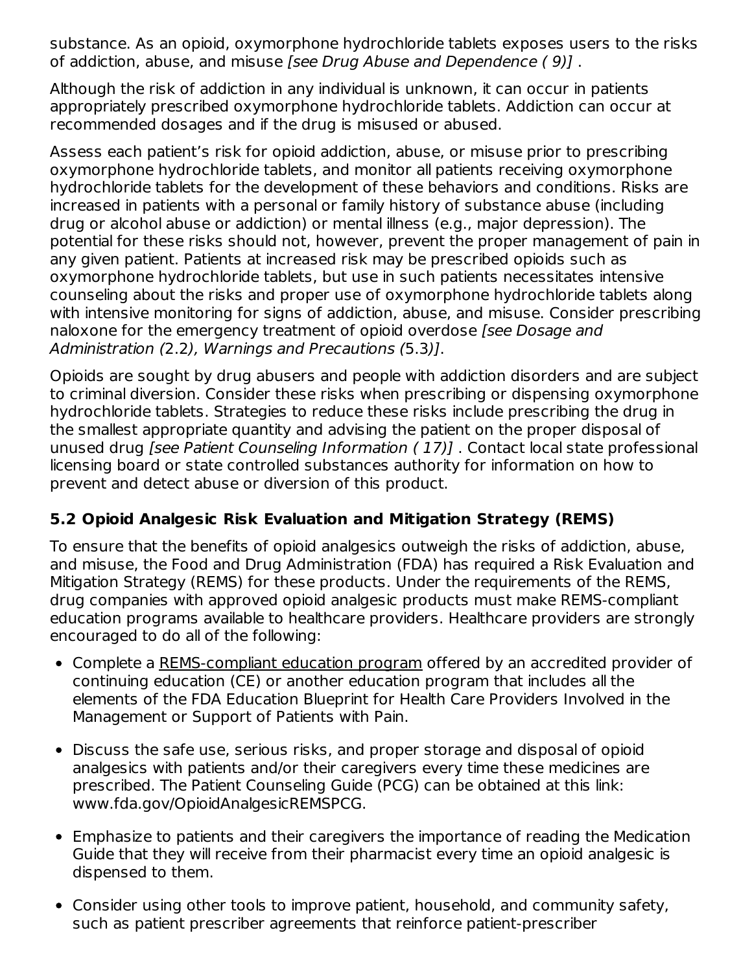substance. As an opioid, oxymorphone hydrochloride tablets exposes users to the risks of addiction, abuse, and misuse [see Drug Abuse and Dependence ( 9)] .

Although the risk of addiction in any individual is unknown, it can occur in patients appropriately prescribed oxymorphone hydrochloride tablets. Addiction can occur at recommended dosages and if the drug is misused or abused.

Assess each patient's risk for opioid addiction, abuse, or misuse prior to prescribing oxymorphone hydrochloride tablets, and monitor all patients receiving oxymorphone hydrochloride tablets for the development of these behaviors and conditions. Risks are increased in patients with a personal or family history of substance abuse (including drug or alcohol abuse or addiction) or mental illness (e.g., major depression). The potential for these risks should not, however, prevent the proper management of pain in any given patient. Patients at increased risk may be prescribed opioids such as oxymorphone hydrochloride tablets, but use in such patients necessitates intensive counseling about the risks and proper use of oxymorphone hydrochloride tablets along with intensive monitoring for signs of addiction, abuse, and misuse. Consider prescribing naloxone for the emergency treatment of opioid overdose [see Dosage and Administration (2.2), Warnings and Precautions (5.3)].

Opioids are sought by drug abusers and people with addiction disorders and are subject to criminal diversion. Consider these risks when prescribing or dispensing oxymorphone hydrochloride tablets. Strategies to reduce these risks include prescribing the drug in the smallest appropriate quantity and advising the patient on the proper disposal of unused drug [see Patient Counseling Information ( 17)] . Contact local state professional licensing board or state controlled substances authority for information on how to prevent and detect abuse or diversion of this product.

## **5.2 Opioid Analgesic Risk Evaluation and Mitigation Strategy (REMS)**

To ensure that the benefits of opioid analgesics outweigh the risks of addiction, abuse, and misuse, the Food and Drug Administration (FDA) has required a Risk Evaluation and Mitigation Strategy (REMS) for these products. Under the requirements of the REMS, drug companies with approved opioid analgesic products must make REMS-compliant education programs available to healthcare providers. Healthcare providers are strongly encouraged to do all of the following:

- Complete a REMS-compliant education program offered by an accredited provider of continuing education (CE) or another education program that includes all the elements of the FDA Education Blueprint for Health Care Providers Involved in the Management or Support of Patients with Pain.
- Discuss the safe use, serious risks, and proper storage and disposal of opioid analgesics with patients and/or their caregivers every time these medicines are prescribed. The Patient Counseling Guide (PCG) can be obtained at this link: www.fda.gov/OpioidAnalgesicREMSPCG.
- Emphasize to patients and their caregivers the importance of reading the Medication Guide that they will receive from their pharmacist every time an opioid analgesic is dispensed to them.
- Consider using other tools to improve patient, household, and community safety, such as patient prescriber agreements that reinforce patient-prescriber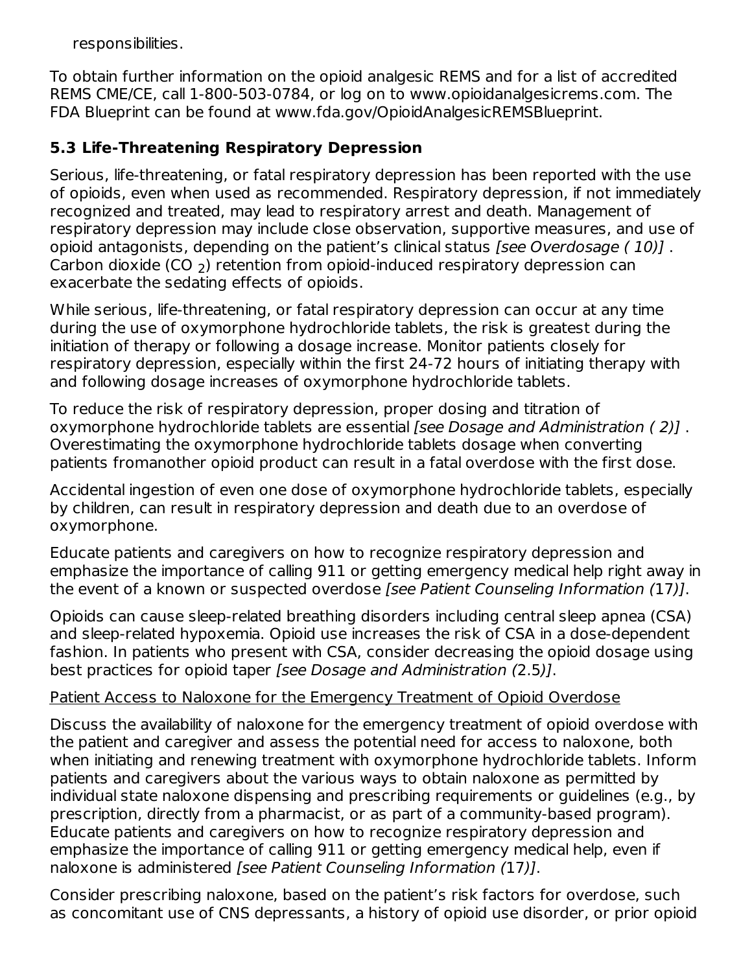responsibilities.

To obtain further information on the opioid analgesic REMS and for a list of accredited REMS CME/CE, call 1-800-503-0784, or log on to www.opioidanalgesicrems.com. The FDA Blueprint can be found at www.fda.gov/OpioidAnalgesicREMSBlueprint.

### **5.3 Life-Threatening Respiratory Depression**

Serious, life-threatening, or fatal respiratory depression has been reported with the use of opioids, even when used as recommended. Respiratory depression, if not immediately recognized and treated, may lead to respiratory arrest and death. Management of respiratory depression may include close observation, supportive measures, and use of opioid antagonists, depending on the patient's clinical status [see Overdosage (10)]. Carbon dioxide (CO  $_2$ ) retention from opioid-induced respiratory depression can exacerbate the sedating effects of opioids.

While serious, life-threatening, or fatal respiratory depression can occur at any time during the use of oxymorphone hydrochloride tablets, the risk is greatest during the initiation of therapy or following a dosage increase. Monitor patients closely for respiratory depression, especially within the first 24-72 hours of initiating therapy with and following dosage increases of oxymorphone hydrochloride tablets.

To reduce the risk of respiratory depression, proper dosing and titration of oxymorphone hydrochloride tablets are essential [see Dosage and Administration ( 2)] . Overestimating the oxymorphone hydrochloride tablets dosage when converting patients fromanother opioid product can result in a fatal overdose with the first dose.

Accidental ingestion of even one dose of oxymorphone hydrochloride tablets, especially by children, can result in respiratory depression and death due to an overdose of oxymorphone.

Educate patients and caregivers on how to recognize respiratory depression and emphasize the importance of calling 911 or getting emergency medical help right away in the event of a known or suspected overdose [see Patient Counseling Information (17)].

Opioids can cause sleep-related breathing disorders including central sleep apnea (CSA) and sleep-related hypoxemia. Opioid use increases the risk of CSA in a dose-dependent fashion. In patients who present with CSA, consider decreasing the opioid dosage using best practices for opioid taper [see Dosage and Administration (2.5)].

#### Patient Access to Naloxone for the Emergency Treatment of Opioid Overdose

Discuss the availability of naloxone for the emergency treatment of opioid overdose with the patient and caregiver and assess the potential need for access to naloxone, both when initiating and renewing treatment with oxymorphone hydrochloride tablets. Inform patients and caregivers about the various ways to obtain naloxone as permitted by individual state naloxone dispensing and prescribing requirements or guidelines (e.g., by prescription, directly from a pharmacist, or as part of a community-based program). Educate patients and caregivers on how to recognize respiratory depression and emphasize the importance of calling 911 or getting emergency medical help, even if naloxone is administered [see Patient Counseling Information (17)].

Consider prescribing naloxone, based on the patient's risk factors for overdose, such as concomitant use of CNS depressants, a history of opioid use disorder, or prior opioid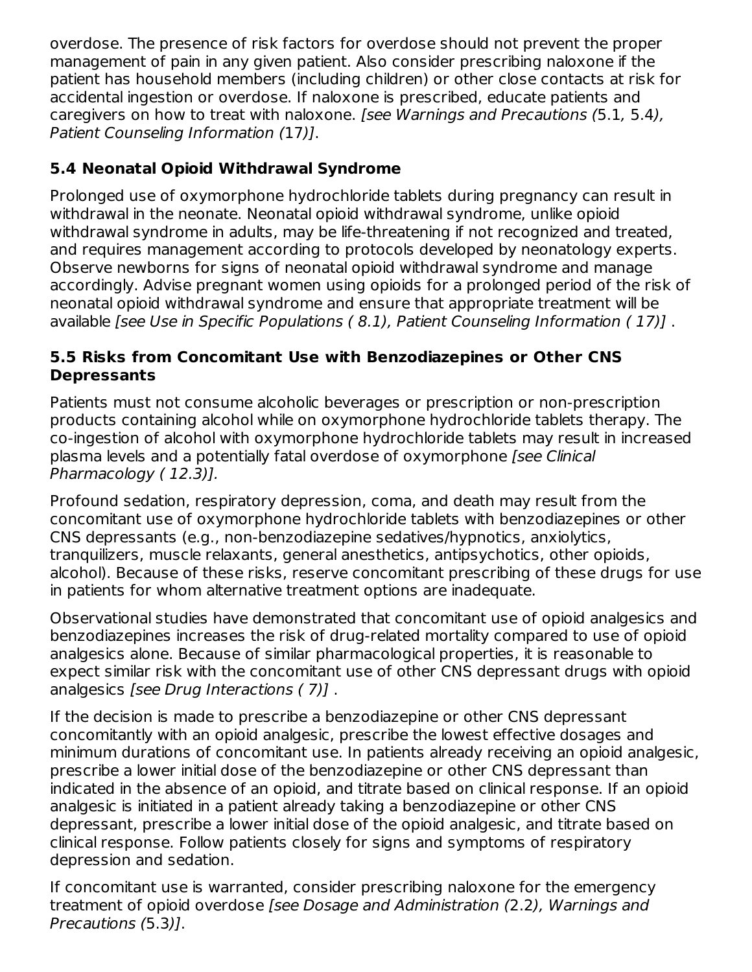overdose. The presence of risk factors for overdose should not prevent the proper management of pain in any given patient. Also consider prescribing naloxone if the patient has household members (including children) or other close contacts at risk for accidental ingestion or overdose. If naloxone is prescribed, educate patients and caregivers on how to treat with naloxone. [see Warnings and Precautions (5.1, 5.4), Patient Counseling Information (17)].

# **5.4 Neonatal Opioid Withdrawal Syndrome**

Prolonged use of oxymorphone hydrochloride tablets during pregnancy can result in withdrawal in the neonate. Neonatal opioid withdrawal syndrome, unlike opioid withdrawal syndrome in adults, may be life-threatening if not recognized and treated, and requires management according to protocols developed by neonatology experts. Observe newborns for signs of neonatal opioid withdrawal syndrome and manage accordingly. Advise pregnant women using opioids for a prolonged period of the risk of neonatal opioid withdrawal syndrome and ensure that appropriate treatment will be available [see Use in Specific Populations ( 8.1), Patient Counseling Information ( 17)] .

### **5.5 Risks from Concomitant Use with Benzodiazepines or Other CNS Depressants**

Patients must not consume alcoholic beverages or prescription or non-prescription products containing alcohol while on oxymorphone hydrochloride tablets therapy. The co-ingestion of alcohol with oxymorphone hydrochloride tablets may result in increased plasma levels and a potentially fatal overdose of oxymorphone [see Clinical Pharmacology ( 12.3)].

Profound sedation, respiratory depression, coma, and death may result from the concomitant use of oxymorphone hydrochloride tablets with benzodiazepines or other CNS depressants (e.g., non-benzodiazepine sedatives/hypnotics, anxiolytics, tranquilizers, muscle relaxants, general anesthetics, antipsychotics, other opioids, alcohol). Because of these risks, reserve concomitant prescribing of these drugs for use in patients for whom alternative treatment options are inadequate.

Observational studies have demonstrated that concomitant use of opioid analgesics and benzodiazepines increases the risk of drug-related mortality compared to use of opioid analgesics alone. Because of similar pharmacological properties, it is reasonable to expect similar risk with the concomitant use of other CNS depressant drugs with opioid analgesics [see Drug Interactions ( 7)] .

If the decision is made to prescribe a benzodiazepine or other CNS depressant concomitantly with an opioid analgesic, prescribe the lowest effective dosages and minimum durations of concomitant use. In patients already receiving an opioid analgesic, prescribe a lower initial dose of the benzodiazepine or other CNS depressant than indicated in the absence of an opioid, and titrate based on clinical response. If an opioid analgesic is initiated in a patient already taking a benzodiazepine or other CNS depressant, prescribe a lower initial dose of the opioid analgesic, and titrate based on clinical response. Follow patients closely for signs and symptoms of respiratory depression and sedation.

If concomitant use is warranted, consider prescribing naloxone for the emergency treatment of opioid overdose [see Dosage and Administration (2.2), Warnings and Precautions (5.3)].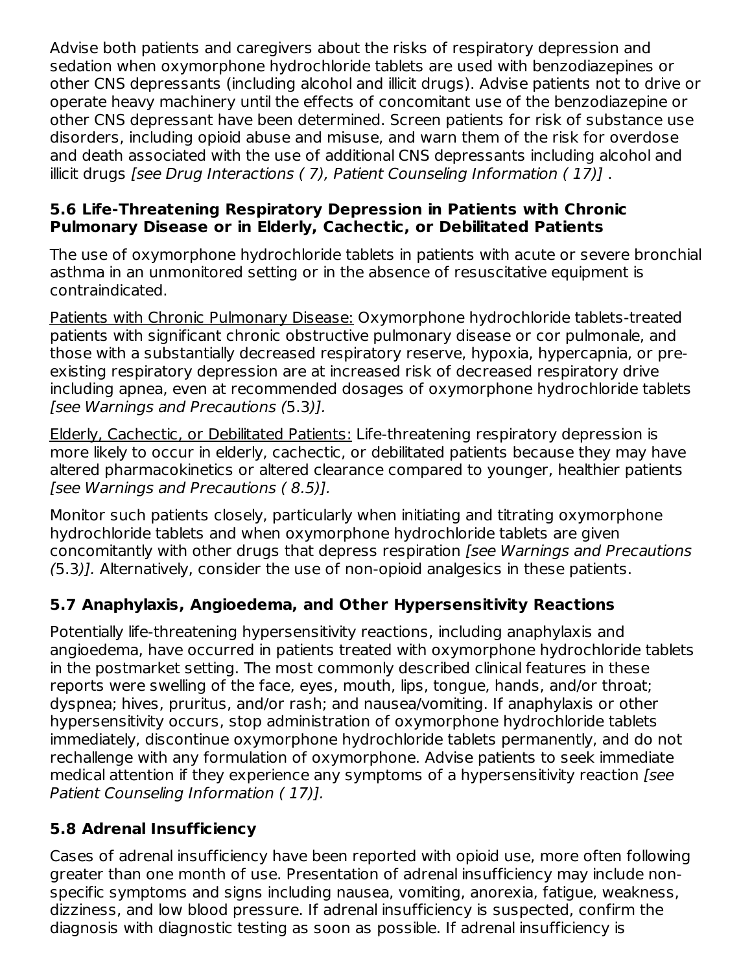Advise both patients and caregivers about the risks of respiratory depression and sedation when oxymorphone hydrochloride tablets are used with benzodiazepines or other CNS depressants (including alcohol and illicit drugs). Advise patients not to drive or operate heavy machinery until the effects of concomitant use of the benzodiazepine or other CNS depressant have been determined. Screen patients for risk of substance use disorders, including opioid abuse and misuse, and warn them of the risk for overdose and death associated with the use of additional CNS depressants including alcohol and illicit drugs [see Drug Interactions ( 7), Patient Counseling Information ( 17)] .

### **5.6 Life-Threatening Respiratory Depression in Patients with Chronic Pulmonary Disease or in Elderly, Cachectic, or Debilitated Patients**

The use of oxymorphone hydrochloride tablets in patients with acute or severe bronchial asthma in an unmonitored setting or in the absence of resuscitative equipment is contraindicated.

Patients with Chronic Pulmonary Disease: Oxymorphone hydrochloride tablets-treated patients with significant chronic obstructive pulmonary disease or cor pulmonale, and those with a substantially decreased respiratory reserve, hypoxia, hypercapnia, or preexisting respiratory depression are at increased risk of decreased respiratory drive including apnea, even at recommended dosages of oxymorphone hydrochloride tablets [see Warnings and Precautions (5.3)].

Elderly, Cachectic, or Debilitated Patients: Life-threatening respiratory depression is more likely to occur in elderly, cachectic, or debilitated patients because they may have altered pharmacokinetics or altered clearance compared to younger, healthier patients [see Warnings and Precautions ( 8.5)].

Monitor such patients closely, particularly when initiating and titrating oxymorphone hydrochloride tablets and when oxymorphone hydrochloride tablets are given concomitantly with other drugs that depress respiration [see Warnings and Precautions (5.3)]. Alternatively, consider the use of non-opioid analgesics in these patients.

# **5.7 Anaphylaxis, Angioedema, and Other Hypersensitivity Reactions**

Potentially life-threatening hypersensitivity reactions, including anaphylaxis and angioedema, have occurred in patients treated with oxymorphone hydrochloride tablets in the postmarket setting. The most commonly described clinical features in these reports were swelling of the face, eyes, mouth, lips, tongue, hands, and/or throat; dyspnea; hives, pruritus, and/or rash; and nausea/vomiting. If anaphylaxis or other hypersensitivity occurs, stop administration of oxymorphone hydrochloride tablets immediately, discontinue oxymorphone hydrochloride tablets permanently, and do not rechallenge with any formulation of oxymorphone. Advise patients to seek immediate medical attention if they experience any symptoms of a hypersensitivity reaction [see Patient Counseling Information ( 17)].

## **5.8 Adrenal Insufficiency**

Cases of adrenal insufficiency have been reported with opioid use, more often following greater than one month of use. Presentation of adrenal insufficiency may include nonspecific symptoms and signs including nausea, vomiting, anorexia, fatigue, weakness, dizziness, and low blood pressure. If adrenal insufficiency is suspected, confirm the diagnosis with diagnostic testing as soon as possible. If adrenal insufficiency is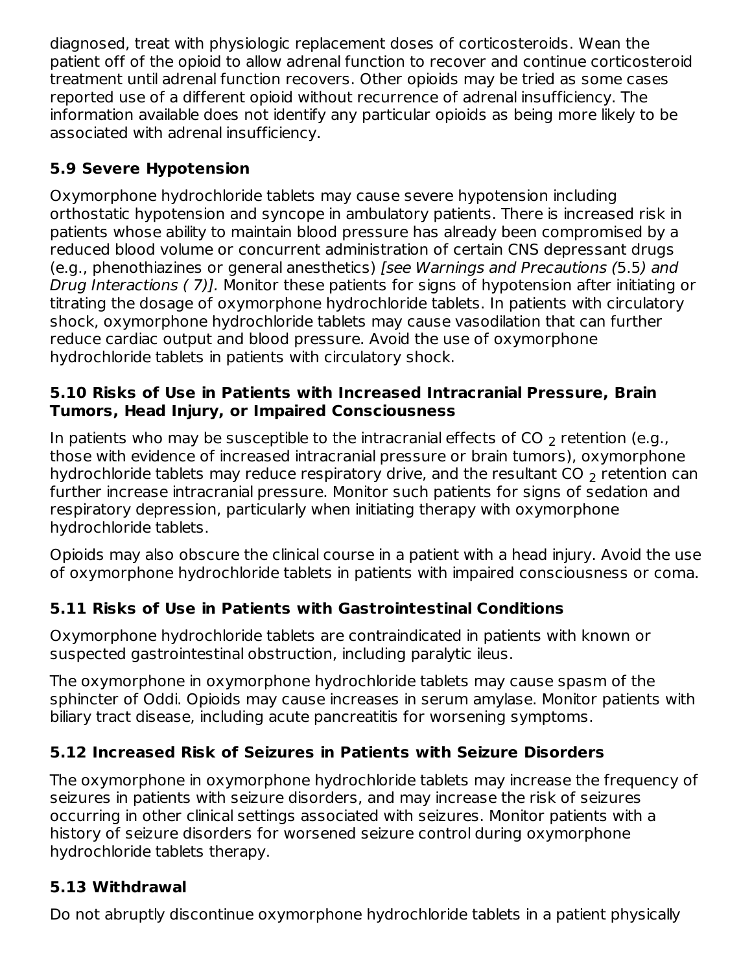diagnosed, treat with physiologic replacement doses of corticosteroids. Wean the patient off of the opioid to allow adrenal function to recover and continue corticosteroid treatment until adrenal function recovers. Other opioids may be tried as some cases reported use of a different opioid without recurrence of adrenal insufficiency. The information available does not identify any particular opioids as being more likely to be associated with adrenal insufficiency.

# **5.9 Severe Hypotension**

Oxymorphone hydrochloride tablets may cause severe hypotension including orthostatic hypotension and syncope in ambulatory patients. There is increased risk in patients whose ability to maintain blood pressure has already been compromised by a reduced blood volume or concurrent administration of certain CNS depressant drugs (e.g., phenothiazines or general anesthetics) [see Warnings and Precautions (5.5) and Drug Interactions ( 7)]. Monitor these patients for signs of hypotension after initiating or titrating the dosage of oxymorphone hydrochloride tablets. In patients with circulatory shock, oxymorphone hydrochloride tablets may cause vasodilation that can further reduce cardiac output and blood pressure. Avoid the use of oxymorphone hydrochloride tablets in patients with circulatory shock.

### **5.10 Risks of Use in Patients with Increased Intracranial Pressure, Brain Tumors, Head Injury, or Impaired Consciousness**

In patients who may be susceptible to the intracranial effects of CO  $_{\rm 2}$  retention (e.g., those with evidence of increased intracranial pressure or brain tumors), oxymorphone hydrochloride tablets may reduce respiratory drive, and the resultant CO  $_{\rm 2}$  retention can further increase intracranial pressure. Monitor such patients for signs of sedation and respiratory depression, particularly when initiating therapy with oxymorphone hydrochloride tablets.

Opioids may also obscure the clinical course in a patient with a head injury. Avoid the use of oxymorphone hydrochloride tablets in patients with impaired consciousness or coma.

# **5.11 Risks of Use in Patients with Gastrointestinal Conditions**

Oxymorphone hydrochloride tablets are contraindicated in patients with known or suspected gastrointestinal obstruction, including paralytic ileus.

The oxymorphone in oxymorphone hydrochloride tablets may cause spasm of the sphincter of Oddi. Opioids may cause increases in serum amylase. Monitor patients with biliary tract disease, including acute pancreatitis for worsening symptoms.

# **5.12 Increased Risk of Seizures in Patients with Seizure Disorders**

The oxymorphone in oxymorphone hydrochloride tablets may increase the frequency of seizures in patients with seizure disorders, and may increase the risk of seizures occurring in other clinical settings associated with seizures. Monitor patients with a history of seizure disorders for worsened seizure control during oxymorphone hydrochloride tablets therapy.

# **5.13 Withdrawal**

Do not abruptly discontinue oxymorphone hydrochloride tablets in a patient physically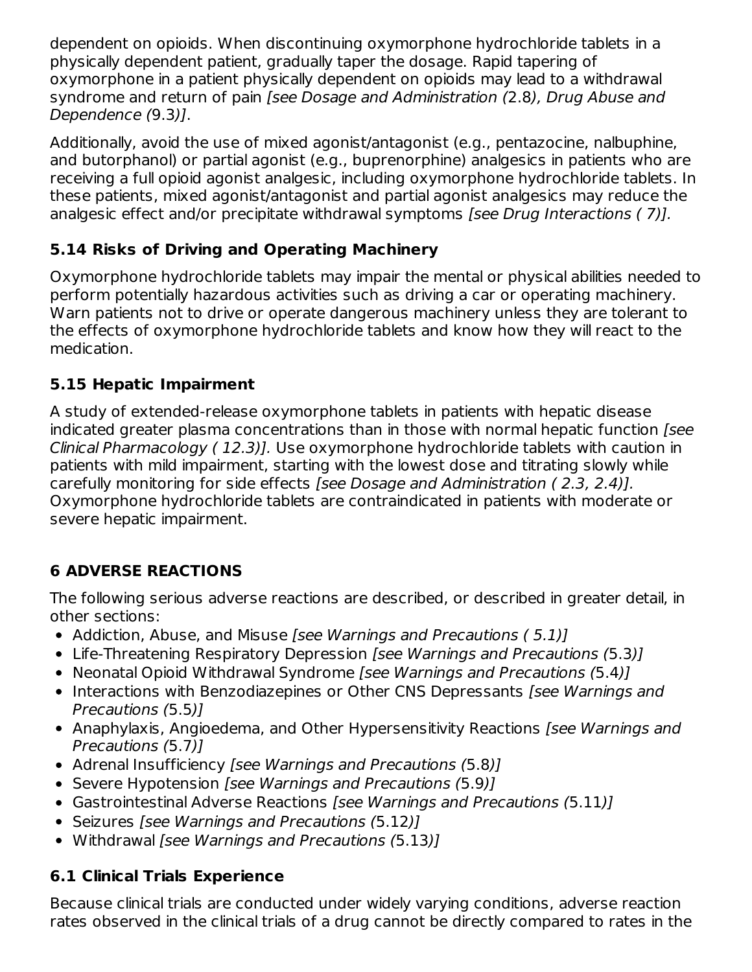dependent on opioids. When discontinuing oxymorphone hydrochloride tablets in a physically dependent patient, gradually taper the dosage. Rapid tapering of oxymorphone in a patient physically dependent on opioids may lead to a withdrawal syndrome and return of pain *[see Dosage and Administration (2.8), Drug Abuse and* Dependence (9.3)].

Additionally, avoid the use of mixed agonist/antagonist (e.g., pentazocine, nalbuphine, and butorphanol) or partial agonist (e.g., buprenorphine) analgesics in patients who are receiving a full opioid agonist analgesic, including oxymorphone hydrochloride tablets. In these patients, mixed agonist/antagonist and partial agonist analgesics may reduce the analgesic effect and/or precipitate withdrawal symptoms [see Drug Interactions ( 7)].

# **5.14 Risks of Driving and Operating Machinery**

Oxymorphone hydrochloride tablets may impair the mental or physical abilities needed to perform potentially hazardous activities such as driving a car or operating machinery. Warn patients not to drive or operate dangerous machinery unless they are tolerant to the effects of oxymorphone hydrochloride tablets and know how they will react to the medication.

## **5.15 Hepatic Impairment**

A study of extended-release oxymorphone tablets in patients with hepatic disease indicated greater plasma concentrations than in those with normal hepatic function [see Clinical Pharmacology ( 12.3)]. Use oxymorphone hydrochloride tablets with caution in patients with mild impairment, starting with the lowest dose and titrating slowly while carefully monitoring for side effects [see Dosage and Administration ( 2.3, 2.4)]. Oxymorphone hydrochloride tablets are contraindicated in patients with moderate or severe hepatic impairment.

# **6 ADVERSE REACTIONS**

The following serious adverse reactions are described, or described in greater detail, in other sections:

- Addiction, Abuse, and Misuse [see Warnings and Precautions (5.1)]
- Life-Threatening Respiratory Depression *[see Warnings and Precautions (5.3)]*
- Neonatal Opioid Withdrawal Syndrome [see Warnings and Precautions (5.4)]
- Interactions with Benzodiazepines or Other CNS Depressants [see Warnings and Precautions (5.5)]
- Anaphylaxis, Angioedema, and Other Hypersensitivity Reactions *[see Warnings and* Precautions (5.7)]
- Adrenal Insufficiency *[see Warnings and Precautions (5.8)]*
- Severe Hypotension [see Warnings and Precautions (5.9)]
- Gastrointestinal Adverse Reactions [see Warnings and Precautions (5.11)]
- Seizures *[see Warnings and Precautions (5.12)]*
- Withdrawal [see Warnings and Precautions (5.13)]

# **6.1 Clinical Trials Experience**

Because clinical trials are conducted under widely varying conditions, adverse reaction rates observed in the clinical trials of a drug cannot be directly compared to rates in the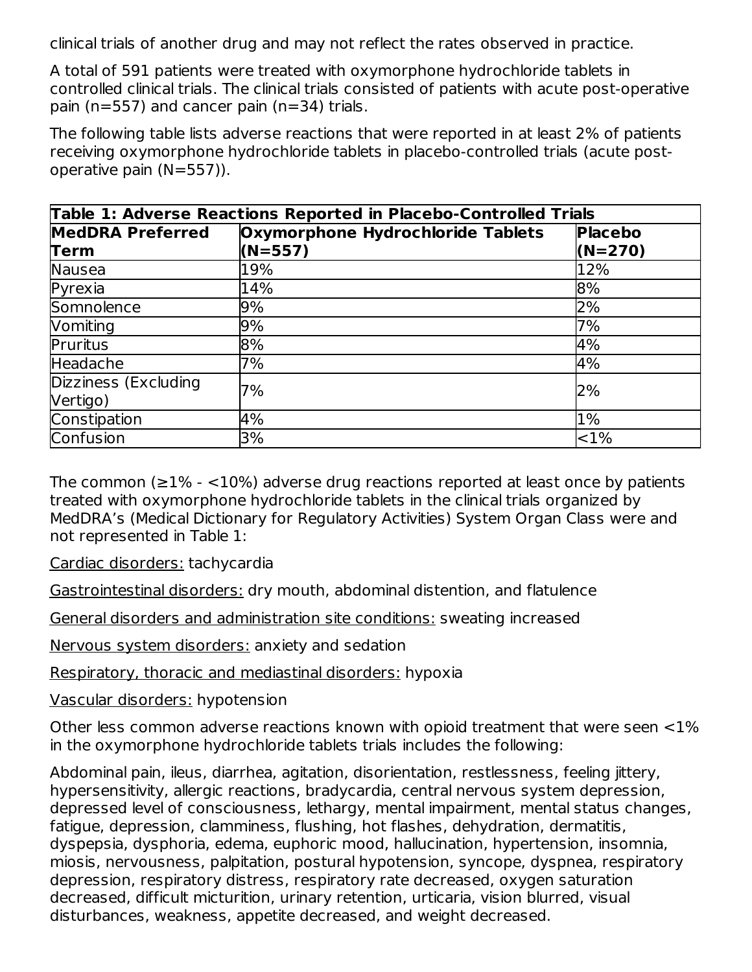clinical trials of another drug and may not reflect the rates observed in practice.

A total of 591 patients were treated with oxymorphone hydrochloride tablets in controlled clinical trials. The clinical trials consisted of patients with acute post-operative pain (n=557) and cancer pain (n=34) trials.

The following table lists adverse reactions that were reported in at least 2% of patients receiving oxymorphone hydrochloride tablets in placebo-controlled trials (acute postoperative pain (N=557)).

| Table 1: Adverse Reactions Reported in Placebo-Controlled Trials |                                                |                           |  |
|------------------------------------------------------------------|------------------------------------------------|---------------------------|--|
| <b>MedDRA Preferred</b><br>Term                                  | Oxymorphone Hydrochloride Tablets<br>$(N=557)$ | <b>Placebo</b><br>(N=270) |  |
| <b>Nausea</b>                                                    | 19%                                            | 12%                       |  |
| Pyrexia                                                          | 14%                                            | 8%                        |  |
| Somnolence                                                       | 9%                                             | 2%                        |  |
| Vomiting                                                         | 9%                                             | 7%                        |  |
| Pruritus                                                         | 8%                                             | 4%                        |  |
| Headache                                                         | 7%                                             | 4%                        |  |
| Dizziness (Excluding<br>Vertigo)                                 | 7%                                             | 2%                        |  |
| Constipation                                                     | 4%                                             | $1\%$                     |  |
| Confusion                                                        | 3%                                             | ${<}1\%$                  |  |

The common ( $\geq$ 1% -  $\lt$ 10%) adverse drug reactions reported at least once by patients treated with oxymorphone hydrochloride tablets in the clinical trials organized by MedDRA's (Medical Dictionary for Regulatory Activities) System Organ Class were and not represented in Table 1:

Cardiac disorders: tachycardia

Gastrointestinal disorders: dry mouth, abdominal distention, and flatulence

General disorders and administration site conditions: sweating increased

Nervous system disorders: anxiety and sedation

Respiratory, thoracic and mediastinal disorders: hypoxia

Vascular disorders: hypotension

Other less common adverse reactions known with opioid treatment that were seen <1% in the oxymorphone hydrochloride tablets trials includes the following:

Abdominal pain, ileus, diarrhea, agitation, disorientation, restlessness, feeling jittery, hypersensitivity, allergic reactions, bradycardia, central nervous system depression, depressed level of consciousness, lethargy, mental impairment, mental status changes, fatigue, depression, clamminess, flushing, hot flashes, dehydration, dermatitis, dyspepsia, dysphoria, edema, euphoric mood, hallucination, hypertension, insomnia, miosis, nervousness, palpitation, postural hypotension, syncope, dyspnea, respiratory depression, respiratory distress, respiratory rate decreased, oxygen saturation decreased, difficult micturition, urinary retention, urticaria, vision blurred, visual disturbances, weakness, appetite decreased, and weight decreased.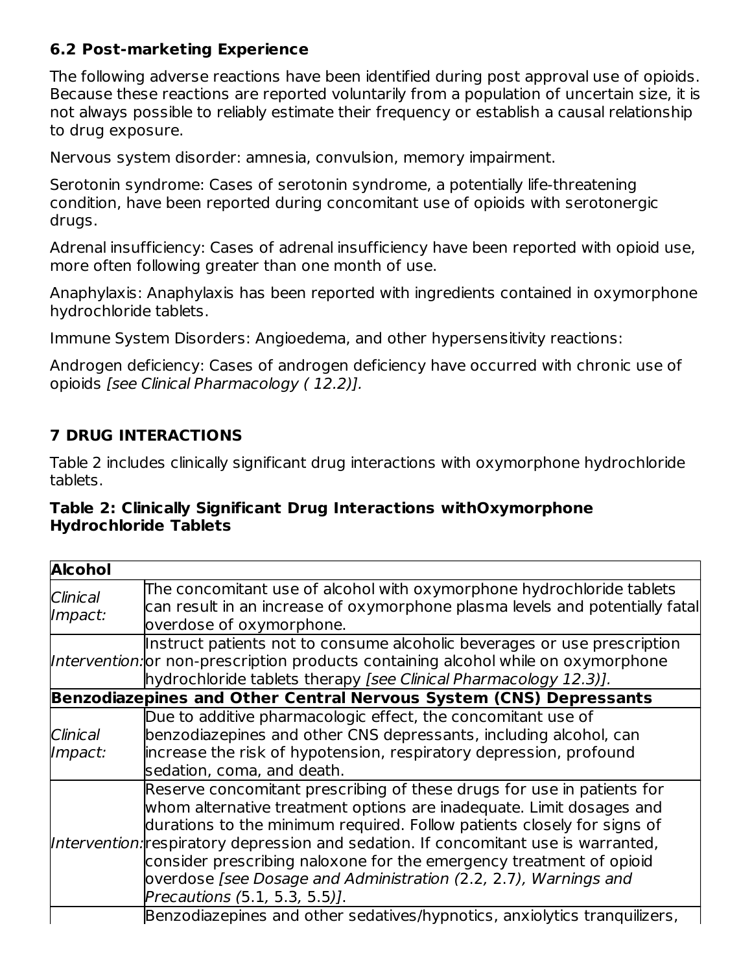### **6.2 Post-marketing Experience**

The following adverse reactions have been identified during post approval use of opioids. Because these reactions are reported voluntarily from a population of uncertain size, it is not always possible to reliably estimate their frequency or establish a causal relationship to drug exposure.

Nervous system disorder: amnesia, convulsion, memory impairment.

Serotonin syndrome: Cases of serotonin syndrome, a potentially life-threatening condition, have been reported during concomitant use of opioids with serotonergic drugs.

Adrenal insufficiency: Cases of adrenal insufficiency have been reported with opioid use, more often following greater than one month of use.

Anaphylaxis: Anaphylaxis has been reported with ingredients contained in oxymorphone hydrochloride tablets.

Immune System Disorders: Angioedema, and other hypersensitivity reactions:

Androgen deficiency: Cases of androgen deficiency have occurred with chronic use of opioids [see Clinical Pharmacology ( 12.2)].

# **7 DRUG INTERACTIONS**

Table 2 includes clinically significant drug interactions with oxymorphone hydrochloride tablets.

#### **Table 2: Clinically Significant Drug Interactions withOxymorphone Hydrochloride Tablets**

| <b>Alcohol</b>      |                                                                                                                                                                                                                                                                                                                                                                                                                                                                                              |
|---------------------|----------------------------------------------------------------------------------------------------------------------------------------------------------------------------------------------------------------------------------------------------------------------------------------------------------------------------------------------------------------------------------------------------------------------------------------------------------------------------------------------|
| Clinical<br>Impact: | The concomitant use of alcohol with oxymorphone hydrochloride tablets<br>can result in an increase of oxymorphone plasma levels and potentially fatal<br>overdose of oxymorphone.                                                                                                                                                                                                                                                                                                            |
|                     | Instruct patients not to consume alcoholic beverages or use prescription<br>Intervention: or non-prescription products containing alcohol while on oxymorphone<br>hydrochloride tablets therapy [see Clinical Pharmacology 12.3)].                                                                                                                                                                                                                                                           |
|                     | Benzodiazepines and Other Central Nervous System (CNS) Depressants                                                                                                                                                                                                                                                                                                                                                                                                                           |
| Clinical<br>Impact: | Due to additive pharmacologic effect, the concomitant use of<br>benzodiazepines and other CNS depressants, including alcohol, can<br>increase the risk of hypotension, respiratory depression, profound<br>sedation, coma, and death.                                                                                                                                                                                                                                                        |
|                     | Reserve concomitant prescribing of these drugs for use in patients for<br>whom alternative treatment options are inadequate. Limit dosages and<br>durations to the minimum required. Follow patients closely for signs of<br>Intervention: respiratory depression and sedation. If concomitant use is warranted,<br>consider prescribing naloxone for the emergency treatment of opioid<br>overdose [see Dosage and Administration (2.2, 2.7), Warnings and<br>Precautions (5.1, 5.3, 5.5)]. |
|                     | Benzodiazepines and other sedatives/hypnotics, anxiolytics tranguilizers,                                                                                                                                                                                                                                                                                                                                                                                                                    |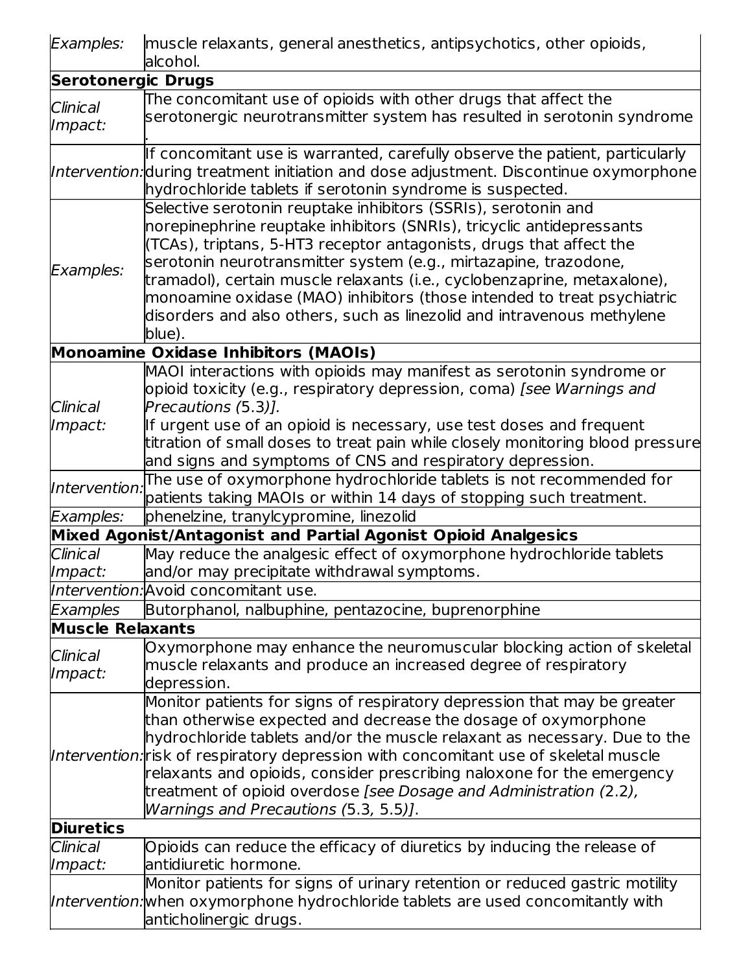| Examples:                 | muscle relaxants, general anesthetics, antipsychotics, other opioids,<br>alcohol.                                                                                                                                                                                                                                                                                                                                                                                                                                             |
|---------------------------|-------------------------------------------------------------------------------------------------------------------------------------------------------------------------------------------------------------------------------------------------------------------------------------------------------------------------------------------------------------------------------------------------------------------------------------------------------------------------------------------------------------------------------|
| <b>Serotonergic Drugs</b> |                                                                                                                                                                                                                                                                                                                                                                                                                                                                                                                               |
| Clinical<br>Impact:       | The concomitant use of opioids with other drugs that affect the<br>serotonergic neurotransmitter system has resulted in serotonin syndrome                                                                                                                                                                                                                                                                                                                                                                                    |
|                           | If concomitant use is warranted, carefully observe the patient, particularly<br>Intervention: during treatment initiation and dose adjustment. Discontinue oxymorphone<br>hydrochloride tablets if serotonin syndrome is suspected.                                                                                                                                                                                                                                                                                           |
| Examples:                 | Selective serotonin reuptake inhibitors (SSRIs), serotonin and<br>norepinephrine reuptake inhibitors (SNRIs), tricyclic antidepressants<br>(TCAs), triptans, 5-HT3 receptor antagonists, drugs that affect the<br>serotonin neurotransmitter system (e.g., mirtazapine, trazodone,<br>tramadol), certain muscle relaxants (i.e., cyclobenzaprine, metaxalone),<br>monoamine oxidase (MAO) inhibitors (those intended to treat psychiatric<br>disorders and also others, such as linezolid and intravenous methylene<br>blue). |
|                           | Monoamine Oxidase Inhibitors (MAOIs)                                                                                                                                                                                                                                                                                                                                                                                                                                                                                          |
| Clinical                  | MAOI interactions with opioids may manifest as serotonin syndrome or<br>opioid toxicity (e.g., respiratory depression, coma) [see Warnings and<br>Precautions (5.3)].                                                                                                                                                                                                                                                                                                                                                         |
| Impact:                   | If urgent use of an opioid is necessary, use test doses and frequent<br>titration of small doses to treat pain while closely monitoring blood pressure<br>and signs and symptoms of CNS and respiratory depression.                                                                                                                                                                                                                                                                                                           |
| Intervention.             | The use of oxymorphone hydrochloride tablets is not recommended for<br>patients taking MAOIs or within 14 days of stopping such treatment.                                                                                                                                                                                                                                                                                                                                                                                    |
| Examples:                 | phenelzine, tranylcypromine, linezolid                                                                                                                                                                                                                                                                                                                                                                                                                                                                                        |
|                           | Mixed Agonist/Antagonist and Partial Agonist Opioid Analgesics                                                                                                                                                                                                                                                                                                                                                                                                                                                                |
| Clinical<br>Impact:       | May reduce the analgesic effect of oxymorphone hydrochloride tablets<br>and/or may precipitate withdrawal symptoms.                                                                                                                                                                                                                                                                                                                                                                                                           |
|                           | Intervention: Avoid concomitant use.                                                                                                                                                                                                                                                                                                                                                                                                                                                                                          |
| Examples                  | Butorphanol, nalbuphine, pentazocine, buprenorphine                                                                                                                                                                                                                                                                                                                                                                                                                                                                           |
| <b>Muscle Relaxants</b>   |                                                                                                                                                                                                                                                                                                                                                                                                                                                                                                                               |
| Clinical<br>Impact:       | Oxymorphone may enhance the neuromuscular blocking action of skeletal<br>muscle relaxants and produce an increased degree of respiratory<br>depression.                                                                                                                                                                                                                                                                                                                                                                       |
|                           | Monitor patients for signs of respiratory depression that may be greater<br>than otherwise expected and decrease the dosage of oxymorphone<br>hydrochloride tablets and/or the muscle relaxant as necessary. Due to the<br>Intervention: risk of respiratory depression with concomitant use of skeletal muscle<br>relaxants and opioids, consider prescribing naloxone for the emergency<br>treatment of opioid overdose [see Dosage and Administration (2.2),<br>Warnings and Precautions (5.3, 5.5)].                      |
| <b>Diuretics</b>          |                                                                                                                                                                                                                                                                                                                                                                                                                                                                                                                               |
| Clinical<br>Impact:       | Opioids can reduce the efficacy of diuretics by inducing the release of<br>lantidiuretic hormone.                                                                                                                                                                                                                                                                                                                                                                                                                             |
|                           | Monitor patients for signs of urinary retention or reduced gastric motility<br>Intervention: when oxymorphone hydrochloride tablets are used concomitantly with<br>anticholinergic drugs.                                                                                                                                                                                                                                                                                                                                     |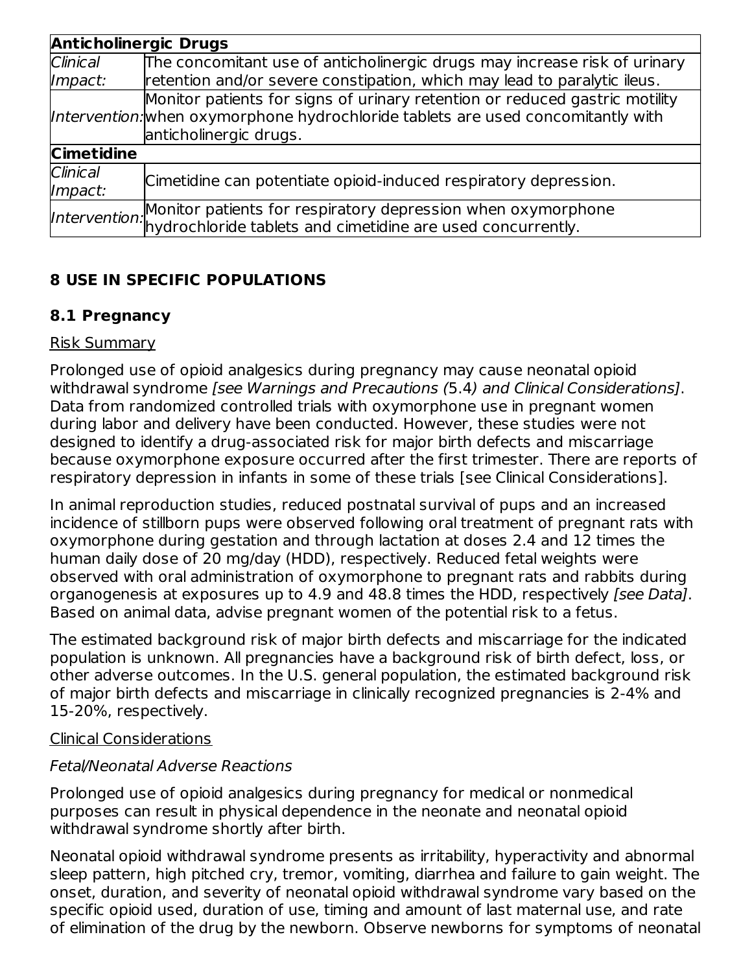|                     | <b>Anticholinergic Drugs</b>                                                                                                                                                              |  |  |  |  |
|---------------------|-------------------------------------------------------------------------------------------------------------------------------------------------------------------------------------------|--|--|--|--|
| Clinical            | The concomitant use of anticholinergic drugs may increase risk of urinary                                                                                                                 |  |  |  |  |
| Impact:             | retention and/or severe constipation, which may lead to paralytic ileus.                                                                                                                  |  |  |  |  |
|                     | Monitor patients for signs of urinary retention or reduced gastric motility<br>Intervention: when oxymorphone hydrochloride tablets are used concomitantly with<br>anticholinergic drugs. |  |  |  |  |
| <b>Cimetidine</b>   |                                                                                                                                                                                           |  |  |  |  |
| Clinical<br>Impact: | Cimetidine can potentiate opioid-induced respiratory depression.                                                                                                                          |  |  |  |  |
|                     | Intervention: Monitor patients for respiratory depression when oxymorphone<br>Intervention: hydrochloride tablets and cimetidine are used concurrently.                                   |  |  |  |  |

# **8 USE IN SPECIFIC POPULATIONS**

## **8.1 Pregnancy**

### Risk Summary

Prolonged use of opioid analgesics during pregnancy may cause neonatal opioid withdrawal syndrome [see Warnings and Precautions (5.4) and Clinical Considerations]. Data from randomized controlled trials with oxymorphone use in pregnant women during labor and delivery have been conducted. However, these studies were not designed to identify a drug-associated risk for major birth defects and miscarriage because oxymorphone exposure occurred after the first trimester. There are reports of respiratory depression in infants in some of these trials [see Clinical Considerations].

In animal reproduction studies, reduced postnatal survival of pups and an increased incidence of stillborn pups were observed following oral treatment of pregnant rats with oxymorphone during gestation and through lactation at doses 2.4 and 12 times the human daily dose of 20 mg/day (HDD), respectively. Reduced fetal weights were observed with oral administration of oxymorphone to pregnant rats and rabbits during organogenesis at exposures up to 4.9 and 48.8 times the HDD, respectively [see Data]. Based on animal data, advise pregnant women of the potential risk to a fetus.

The estimated background risk of major birth defects and miscarriage for the indicated population is unknown. All pregnancies have a background risk of birth defect, loss, or other adverse outcomes. In the U.S. general population, the estimated background risk of major birth defects and miscarriage in clinically recognized pregnancies is 2-4% and 15-20%, respectively.

## Clinical Considerations

## Fetal/Neonatal Adverse Reactions

Prolonged use of opioid analgesics during pregnancy for medical or nonmedical purposes can result in physical dependence in the neonate and neonatal opioid withdrawal syndrome shortly after birth.

Neonatal opioid withdrawal syndrome presents as irritability, hyperactivity and abnormal sleep pattern, high pitched cry, tremor, vomiting, diarrhea and failure to gain weight. The onset, duration, and severity of neonatal opioid withdrawal syndrome vary based on the specific opioid used, duration of use, timing and amount of last maternal use, and rate of elimination of the drug by the newborn. Observe newborns for symptoms of neonatal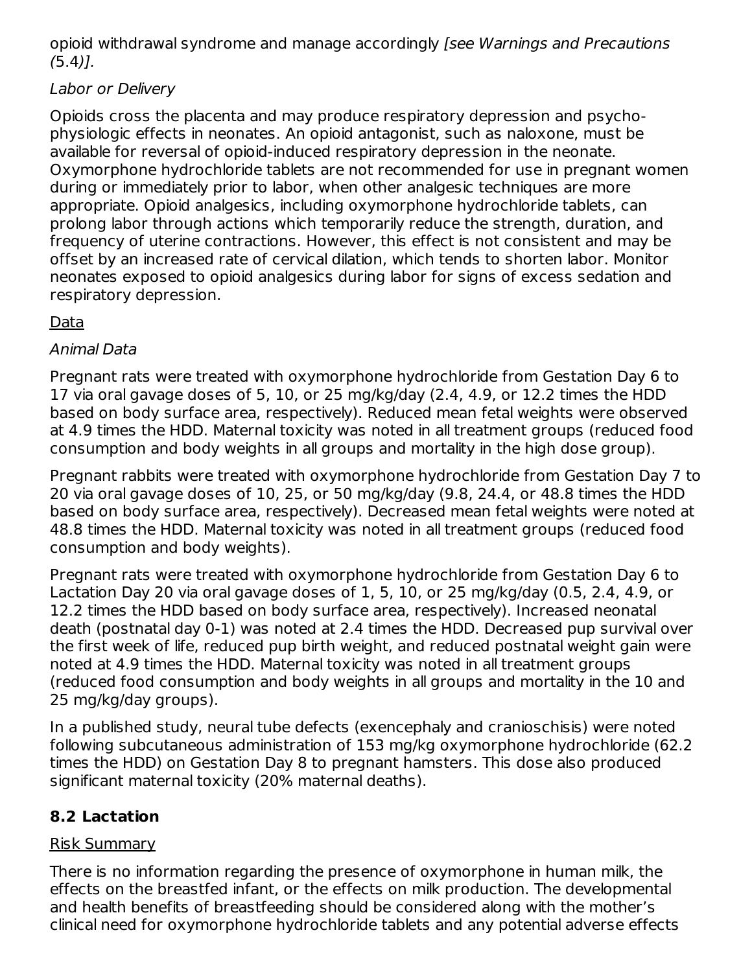opioid withdrawal syndrome and manage accordingly [see Warnings and Precautions  $(5.4)$ .

## Labor or Delivery

Opioids cross the placenta and may produce respiratory depression and psychophysiologic effects in neonates. An opioid antagonist, such as naloxone, must be available for reversal of opioid-induced respiratory depression in the neonate. Oxymorphone hydrochloride tablets are not recommended for use in pregnant women during or immediately prior to labor, when other analgesic techniques are more appropriate. Opioid analgesics, including oxymorphone hydrochloride tablets, can prolong labor through actions which temporarily reduce the strength, duration, and frequency of uterine contractions. However, this effect is not consistent and may be offset by an increased rate of cervical dilation, which tends to shorten labor. Monitor neonates exposed to opioid analgesics during labor for signs of excess sedation and respiratory depression.

## Data

## Animal Data

Pregnant rats were treated with oxymorphone hydrochloride from Gestation Day 6 to 17 via oral gavage doses of 5, 10, or 25 mg/kg/day (2.4, 4.9, or 12.2 times the HDD based on body surface area, respectively). Reduced mean fetal weights were observed at 4.9 times the HDD. Maternal toxicity was noted in all treatment groups (reduced food consumption and body weights in all groups and mortality in the high dose group).

Pregnant rabbits were treated with oxymorphone hydrochloride from Gestation Day 7 to 20 via oral gavage doses of 10, 25, or 50 mg/kg/day (9.8, 24.4, or 48.8 times the HDD based on body surface area, respectively). Decreased mean fetal weights were noted at 48.8 times the HDD. Maternal toxicity was noted in all treatment groups (reduced food consumption and body weights).

Pregnant rats were treated with oxymorphone hydrochloride from Gestation Day 6 to Lactation Day 20 via oral gavage doses of 1, 5, 10, or 25 mg/kg/day (0.5, 2.4, 4.9, or 12.2 times the HDD based on body surface area, respectively). Increased neonatal death (postnatal day 0-1) was noted at 2.4 times the HDD. Decreased pup survival over the first week of life, reduced pup birth weight, and reduced postnatal weight gain were noted at 4.9 times the HDD. Maternal toxicity was noted in all treatment groups (reduced food consumption and body weights in all groups and mortality in the 10 and 25 mg/kg/day groups).

In a published study, neural tube defects (exencephaly and cranioschisis) were noted following subcutaneous administration of 153 mg/kg oxymorphone hydrochloride (62.2 times the HDD) on Gestation Day 8 to pregnant hamsters. This dose also produced significant maternal toxicity (20% maternal deaths).

# **8.2 Lactation**

# Risk Summary

There is no information regarding the presence of oxymorphone in human milk, the effects on the breastfed infant, or the effects on milk production. The developmental and health benefits of breastfeeding should be considered along with the mother's clinical need for oxymorphone hydrochloride tablets and any potential adverse effects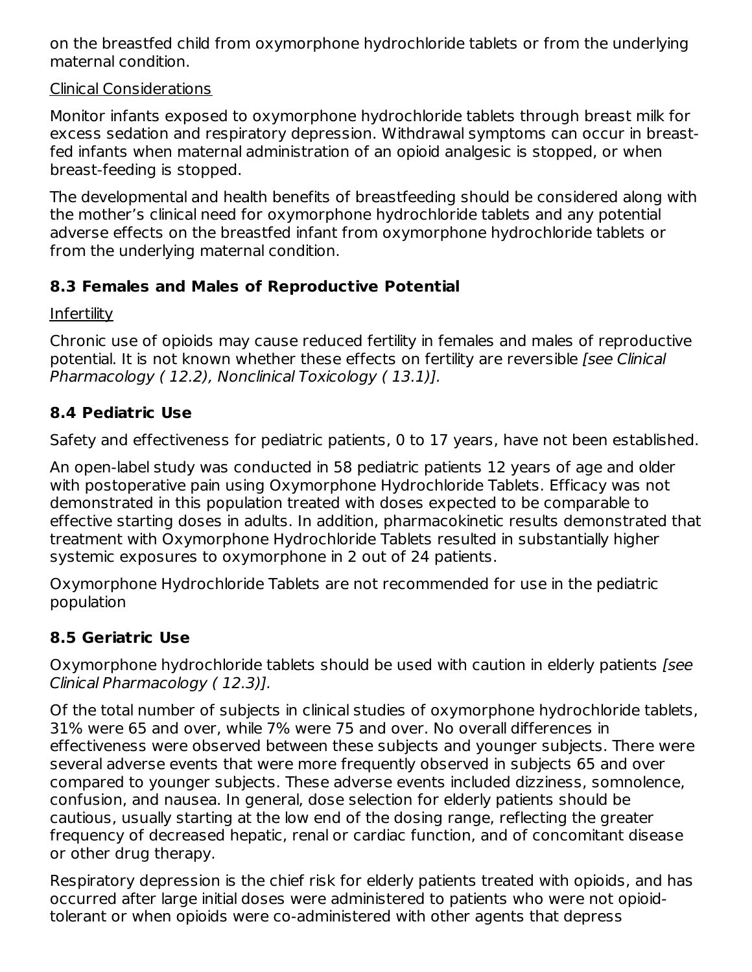on the breastfed child from oxymorphone hydrochloride tablets or from the underlying maternal condition.

Clinical Considerations

Monitor infants exposed to oxymorphone hydrochloride tablets through breast milk for excess sedation and respiratory depression. Withdrawal symptoms can occur in breastfed infants when maternal administration of an opioid analgesic is stopped, or when breast-feeding is stopped.

The developmental and health benefits of breastfeeding should be considered along with the mother's clinical need for oxymorphone hydrochloride tablets and any potential adverse effects on the breastfed infant from oxymorphone hydrochloride tablets or from the underlying maternal condition.

# **8.3 Females and Males of Reproductive Potential**

**Infertility** 

Chronic use of opioids may cause reduced fertility in females and males of reproductive potential. It is not known whether these effects on fertility are reversible *[see Clinical*] Pharmacology ( 12.2), Nonclinical Toxicology ( 13.1)].

# **8.4 Pediatric Use**

Safety and effectiveness for pediatric patients, 0 to 17 years, have not been established.

An open-label study was conducted in 58 pediatric patients 12 years of age and older with postoperative pain using Oxymorphone Hydrochloride Tablets. Efficacy was not demonstrated in this population treated with doses expected to be comparable to effective starting doses in adults. In addition, pharmacokinetic results demonstrated that treatment with Oxymorphone Hydrochloride Tablets resulted in substantially higher systemic exposures to oxymorphone in 2 out of 24 patients.

Oxymorphone Hydrochloride Tablets are not recommended for use in the pediatric population

# **8.5 Geriatric Use**

Oxymorphone hydrochloride tablets should be used with caution in elderly patients [see Clinical Pharmacology ( 12.3)].

Of the total number of subjects in clinical studies of oxymorphone hydrochloride tablets, 31% were 65 and over, while 7% were 75 and over. No overall differences in effectiveness were observed between these subjects and younger subjects. There were several adverse events that were more frequently observed in subjects 65 and over compared to younger subjects. These adverse events included dizziness, somnolence, confusion, and nausea. In general, dose selection for elderly patients should be cautious, usually starting at the low end of the dosing range, reflecting the greater frequency of decreased hepatic, renal or cardiac function, and of concomitant disease or other drug therapy.

Respiratory depression is the chief risk for elderly patients treated with opioids, and has occurred after large initial doses were administered to patients who were not opioidtolerant or when opioids were co-administered with other agents that depress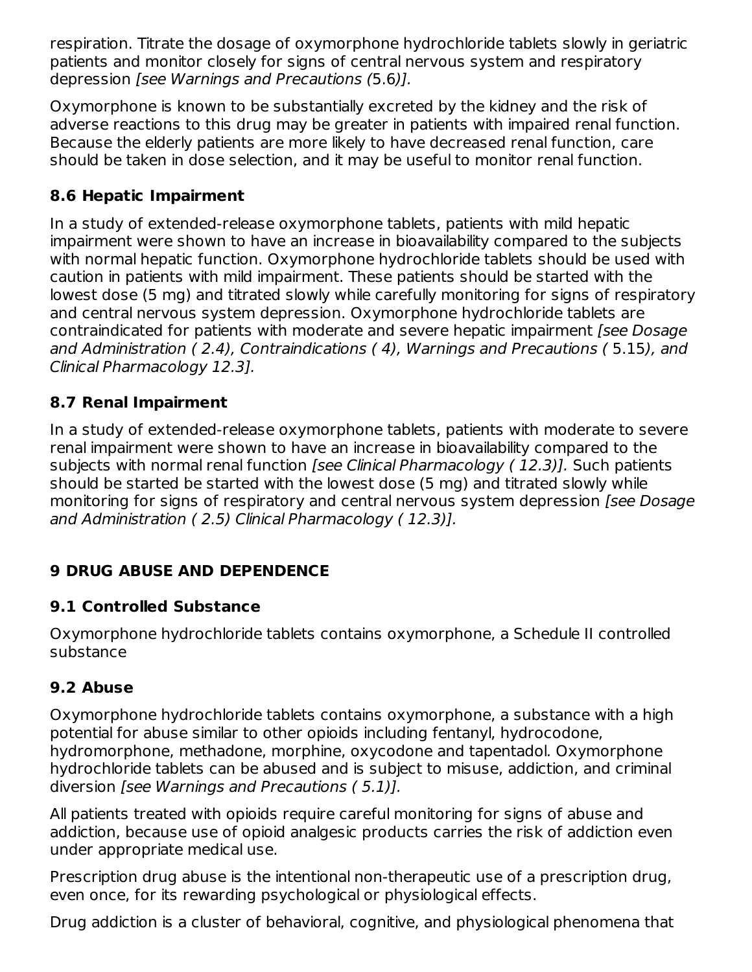respiration. Titrate the dosage of oxymorphone hydrochloride tablets slowly in geriatric patients and monitor closely for signs of central nervous system and respiratory depression [see Warnings and Precautions (5.6)].

Oxymorphone is known to be substantially excreted by the kidney and the risk of adverse reactions to this drug may be greater in patients with impaired renal function. Because the elderly patients are more likely to have decreased renal function, care should be taken in dose selection, and it may be useful to monitor renal function.

## **8.6 Hepatic Impairment**

In a study of extended-release oxymorphone tablets, patients with mild hepatic impairment were shown to have an increase in bioavailability compared to the subjects with normal hepatic function. Oxymorphone hydrochloride tablets should be used with caution in patients with mild impairment. These patients should be started with the lowest dose (5 mg) and titrated slowly while carefully monitoring for signs of respiratory and central nervous system depression. Oxymorphone hydrochloride tablets are contraindicated for patients with moderate and severe hepatic impairment [see Dosage] and Administration ( 2.4), Contraindications ( 4), Warnings and Precautions ( 5.15), and Clinical Pharmacology 12.3].

## **8.7 Renal Impairment**

In a study of extended-release oxymorphone tablets, patients with moderate to severe renal impairment were shown to have an increase in bioavailability compared to the subjects with normal renal function [see Clinical Pharmacology (12.3)]. Such patients should be started be started with the lowest dose (5 mg) and titrated slowly while monitoring for signs of respiratory and central nervous system depression (see Dosage and Administration ( 2.5) Clinical Pharmacology ( 12.3)].

# **9 DRUG ABUSE AND DEPENDENCE**

# **9.1 Controlled Substance**

Oxymorphone hydrochloride tablets contains oxymorphone, a Schedule II controlled substance

## **9.2 Abuse**

Oxymorphone hydrochloride tablets contains oxymorphone, a substance with a high potential for abuse similar to other opioids including fentanyl, hydrocodone, hydromorphone, methadone, morphine, oxycodone and tapentadol. Oxymorphone hydrochloride tablets can be abused and is subject to misuse, addiction, and criminal diversion [see Warnings and Precautions ( 5.1)].

All patients treated with opioids require careful monitoring for signs of abuse and addiction, because use of opioid analgesic products carries the risk of addiction even under appropriate medical use.

Prescription drug abuse is the intentional non-therapeutic use of a prescription drug, even once, for its rewarding psychological or physiological effects.

Drug addiction is a cluster of behavioral, cognitive, and physiological phenomena that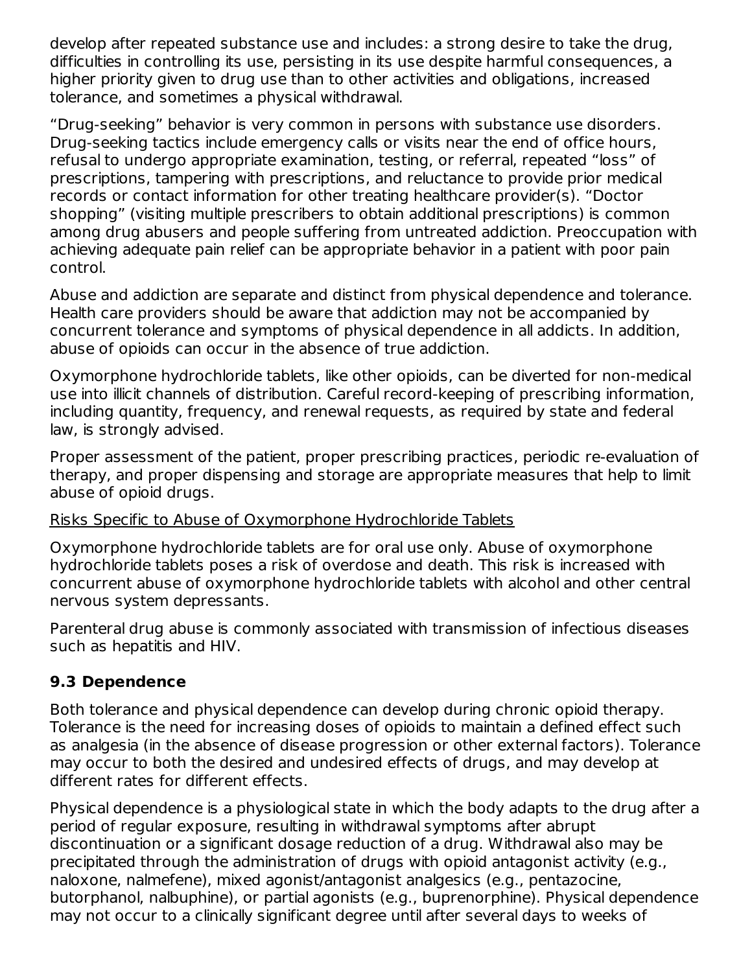develop after repeated substance use and includes: a strong desire to take the drug, difficulties in controlling its use, persisting in its use despite harmful consequences, a higher priority given to drug use than to other activities and obligations, increased tolerance, and sometimes a physical withdrawal.

"Drug-seeking" behavior is very common in persons with substance use disorders. Drug-seeking tactics include emergency calls or visits near the end of office hours, refusal to undergo appropriate examination, testing, or referral, repeated "loss" of prescriptions, tampering with prescriptions, and reluctance to provide prior medical records or contact information for other treating healthcare provider(s). "Doctor shopping" (visiting multiple prescribers to obtain additional prescriptions) is common among drug abusers and people suffering from untreated addiction. Preoccupation with achieving adequate pain relief can be appropriate behavior in a patient with poor pain control.

Abuse and addiction are separate and distinct from physical dependence and tolerance. Health care providers should be aware that addiction may not be accompanied by concurrent tolerance and symptoms of physical dependence in all addicts. In addition, abuse of opioids can occur in the absence of true addiction.

Oxymorphone hydrochloride tablets, like other opioids, can be diverted for non-medical use into illicit channels of distribution. Careful record-keeping of prescribing information, including quantity, frequency, and renewal requests, as required by state and federal law, is strongly advised.

Proper assessment of the patient, proper prescribing practices, periodic re-evaluation of therapy, and proper dispensing and storage are appropriate measures that help to limit abuse of opioid drugs.

## Risks Specific to Abuse of Oxymorphone Hydrochloride Tablets

Oxymorphone hydrochloride tablets are for oral use only. Abuse of oxymorphone hydrochloride tablets poses a risk of overdose and death. This risk is increased with concurrent abuse of oxymorphone hydrochloride tablets with alcohol and other central nervous system depressants.

Parenteral drug abuse is commonly associated with transmission of infectious diseases such as hepatitis and HIV.

## **9.3 Dependence**

Both tolerance and physical dependence can develop during chronic opioid therapy. Tolerance is the need for increasing doses of opioids to maintain a defined effect such as analgesia (in the absence of disease progression or other external factors). Tolerance may occur to both the desired and undesired effects of drugs, and may develop at different rates for different effects.

Physical dependence is a physiological state in which the body adapts to the drug after a period of regular exposure, resulting in withdrawal symptoms after abrupt discontinuation or a significant dosage reduction of a drug. Withdrawal also may be precipitated through the administration of drugs with opioid antagonist activity (e.g., naloxone, nalmefene), mixed agonist/antagonist analgesics (e.g., pentazocine, butorphanol, nalbuphine), or partial agonists (e.g., buprenorphine). Physical dependence may not occur to a clinically significant degree until after several days to weeks of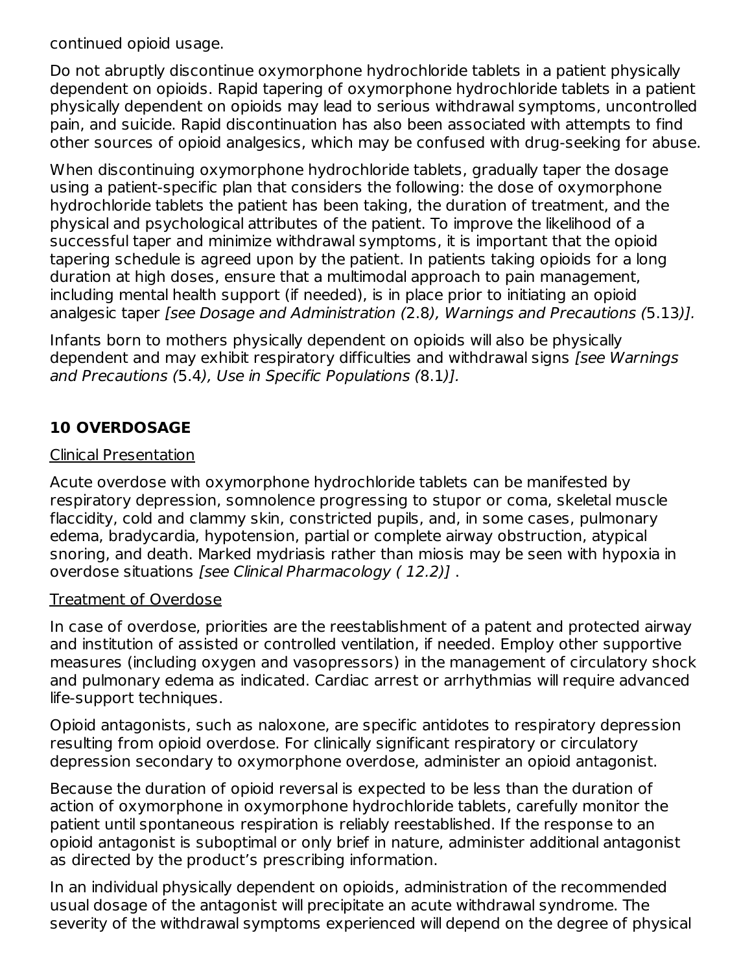continued opioid usage.

Do not abruptly discontinue oxymorphone hydrochloride tablets in a patient physically dependent on opioids. Rapid tapering of oxymorphone hydrochloride tablets in a patient physically dependent on opioids may lead to serious withdrawal symptoms, uncontrolled pain, and suicide. Rapid discontinuation has also been associated with attempts to find other sources of opioid analgesics, which may be confused with drug-seeking for abuse.

When discontinuing oxymorphone hydrochloride tablets, gradually taper the dosage using a patient-specific plan that considers the following: the dose of oxymorphone hydrochloride tablets the patient has been taking, the duration of treatment, and the physical and psychological attributes of the patient. To improve the likelihood of a successful taper and minimize withdrawal symptoms, it is important that the opioid tapering schedule is agreed upon by the patient. In patients taking opioids for a long duration at high doses, ensure that a multimodal approach to pain management, including mental health support (if needed), is in place prior to initiating an opioid analgesic taper [see Dosage and Administration (2.8), Warnings and Precautions (5.13)].

Infants born to mothers physically dependent on opioids will also be physically dependent and may exhibit respiratory difficulties and withdrawal signs [see Warnings] and Precautions (5.4), Use in Specific Populations (8.1)].

## **10 OVERDOSAGE**

#### Clinical Presentation

Acute overdose with oxymorphone hydrochloride tablets can be manifested by respiratory depression, somnolence progressing to stupor or coma, skeletal muscle flaccidity, cold and clammy skin, constricted pupils, and, in some cases, pulmonary edema, bradycardia, hypotension, partial or complete airway obstruction, atypical snoring, and death. Marked mydriasis rather than miosis may be seen with hypoxia in overdose situations [see Clinical Pharmacology ( 12.2)] .

#### Treatment of Overdose

In case of overdose, priorities are the reestablishment of a patent and protected airway and institution of assisted or controlled ventilation, if needed. Employ other supportive measures (including oxygen and vasopressors) in the management of circulatory shock and pulmonary edema as indicated. Cardiac arrest or arrhythmias will require advanced life-support techniques.

Opioid antagonists, such as naloxone, are specific antidotes to respiratory depression resulting from opioid overdose. For clinically significant respiratory or circulatory depression secondary to oxymorphone overdose, administer an opioid antagonist.

Because the duration of opioid reversal is expected to be less than the duration of action of oxymorphone in oxymorphone hydrochloride tablets, carefully monitor the patient until spontaneous respiration is reliably reestablished. If the response to an opioid antagonist is suboptimal or only brief in nature, administer additional antagonist as directed by the product's prescribing information.

In an individual physically dependent on opioids, administration of the recommended usual dosage of the antagonist will precipitate an acute withdrawal syndrome. The severity of the withdrawal symptoms experienced will depend on the degree of physical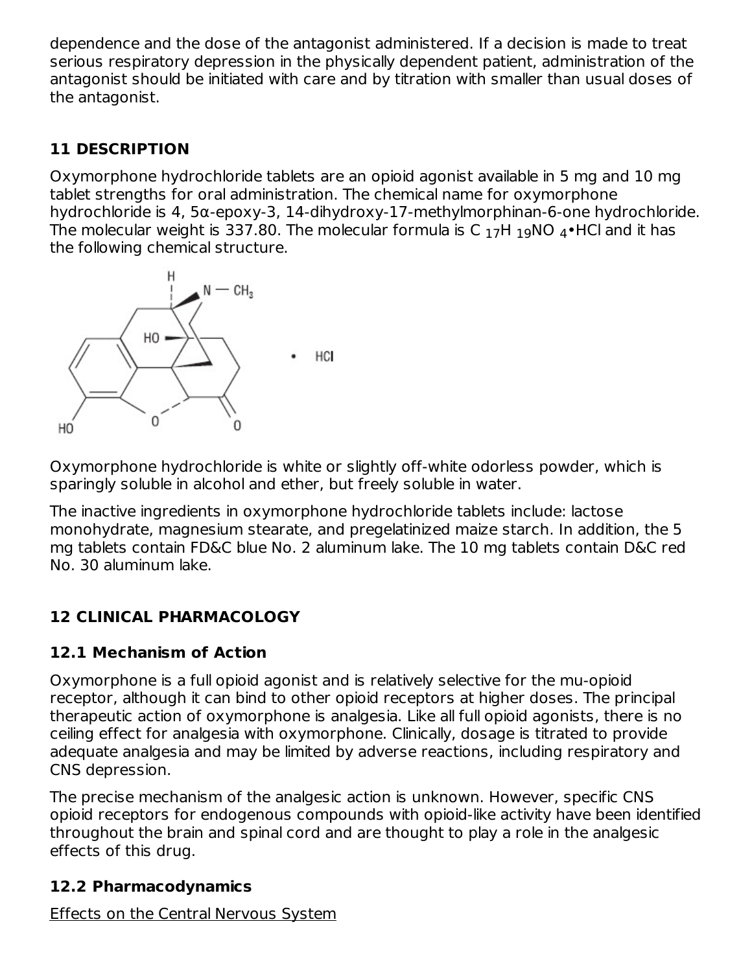dependence and the dose of the antagonist administered. If a decision is made to treat serious respiratory depression in the physically dependent patient, administration of the antagonist should be initiated with care and by titration with smaller than usual doses of the antagonist.

# **11 DESCRIPTION**

Oxymorphone hydrochloride tablets are an opioid agonist available in 5 mg and 10 mg tablet strengths for oral administration. The chemical name for oxymorphone hydrochloride is 4, 5α-epoxy-3, 14-dihydroxy-17-methylmorphinan-6-one hydrochloride. The molecular weight is 337.80. The molecular formula is C  $_{17}$ H  $_{19}$ NO  $_4$ •HCl and it has the following chemical structure.



Oxymorphone hydrochloride is white or slightly off-white odorless powder, which is sparingly soluble in alcohol and ether, but freely soluble in water.

The inactive ingredients in oxymorphone hydrochloride tablets include: lactose monohydrate, magnesium stearate, and pregelatinized maize starch. In addition, the 5 mg tablets contain FD&C blue No. 2 aluminum lake. The 10 mg tablets contain D&C red No. 30 aluminum lake.

# **12 CLINICAL PHARMACOLOGY**

# **12.1 Mechanism of Action**

Oxymorphone is a full opioid agonist and is relatively selective for the mu-opioid receptor, although it can bind to other opioid receptors at higher doses. The principal therapeutic action of oxymorphone is analgesia. Like all full opioid agonists, there is no ceiling effect for analgesia with oxymorphone. Clinically, dosage is titrated to provide adequate analgesia and may be limited by adverse reactions, including respiratory and CNS depression.

The precise mechanism of the analgesic action is unknown. However, specific CNS opioid receptors for endogenous compounds with opioid-like activity have been identified throughout the brain and spinal cord and are thought to play a role in the analgesic effects of this drug.

# **12.2 Pharmacodynamics**

**Effects on the Central Nervous System**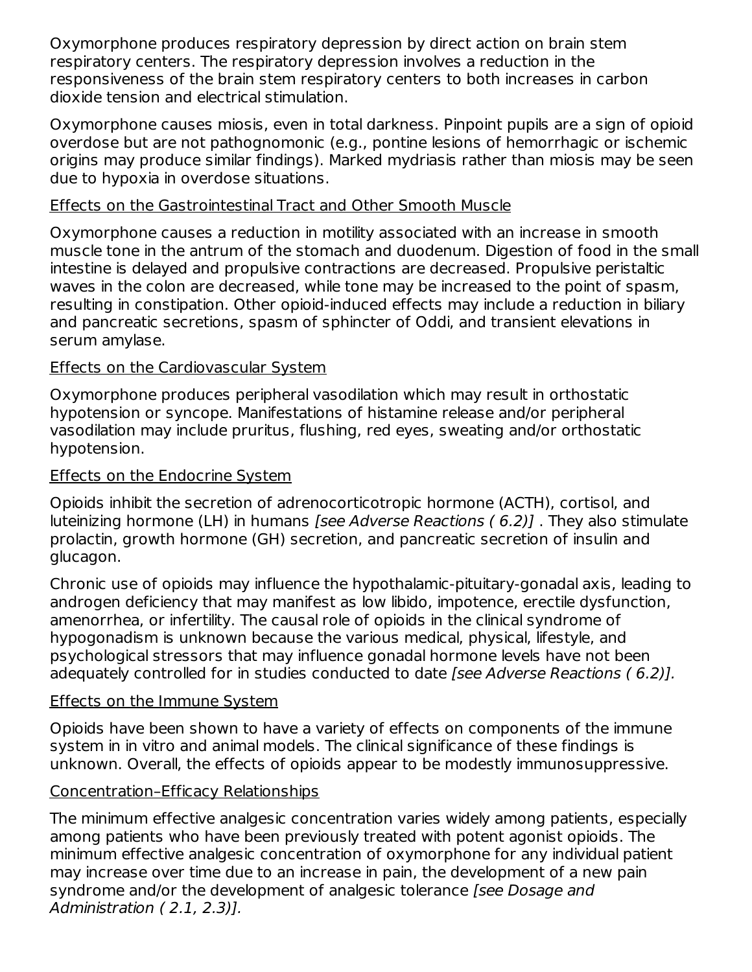Oxymorphone produces respiratory depression by direct action on brain stem respiratory centers. The respiratory depression involves a reduction in the responsiveness of the brain stem respiratory centers to both increases in carbon dioxide tension and electrical stimulation.

Oxymorphone causes miosis, even in total darkness. Pinpoint pupils are a sign of opioid overdose but are not pathognomonic (e.g., pontine lesions of hemorrhagic or ischemic origins may produce similar findings). Marked mydriasis rather than miosis may be seen due to hypoxia in overdose situations.

#### Effects on the Gastrointestinal Tract and Other Smooth Muscle

Oxymorphone causes a reduction in motility associated with an increase in smooth muscle tone in the antrum of the stomach and duodenum. Digestion of food in the small intestine is delayed and propulsive contractions are decreased. Propulsive peristaltic waves in the colon are decreased, while tone may be increased to the point of spasm, resulting in constipation. Other opioid-induced effects may include a reduction in biliary and pancreatic secretions, spasm of sphincter of Oddi, and transient elevations in serum amylase.

#### Effects on the Cardiovascular System

Oxymorphone produces peripheral vasodilation which may result in orthostatic hypotension or syncope. Manifestations of histamine release and/or peripheral vasodilation may include pruritus, flushing, red eyes, sweating and/or orthostatic hypotension.

#### Effects on the Endocrine System

Opioids inhibit the secretion of adrenocorticotropic hormone (ACTH), cortisol, and luteinizing hormone (LH) in humans [see Adverse Reactions ( 6.2)] . They also stimulate prolactin, growth hormone (GH) secretion, and pancreatic secretion of insulin and glucagon.

Chronic use of opioids may influence the hypothalamic-pituitary-gonadal axis, leading to androgen deficiency that may manifest as low libido, impotence, erectile dysfunction, amenorrhea, or infertility. The causal role of opioids in the clinical syndrome of hypogonadism is unknown because the various medical, physical, lifestyle, and psychological stressors that may influence gonadal hormone levels have not been adequately controlled for in studies conducted to date [see Adverse Reactions ( 6.2)].

#### Effects on the Immune System

Opioids have been shown to have a variety of effects on components of the immune system in in vitro and animal models. The clinical significance of these findings is unknown. Overall, the effects of opioids appear to be modestly immunosuppressive.

#### Concentration–Efficacy Relationships

The minimum effective analgesic concentration varies widely among patients, especially among patients who have been previously treated with potent agonist opioids. The minimum effective analgesic concentration of oxymorphone for any individual patient may increase over time due to an increase in pain, the development of a new pain syndrome and/or the development of analgesic tolerance [see Dosage and Administration ( 2.1, 2.3)].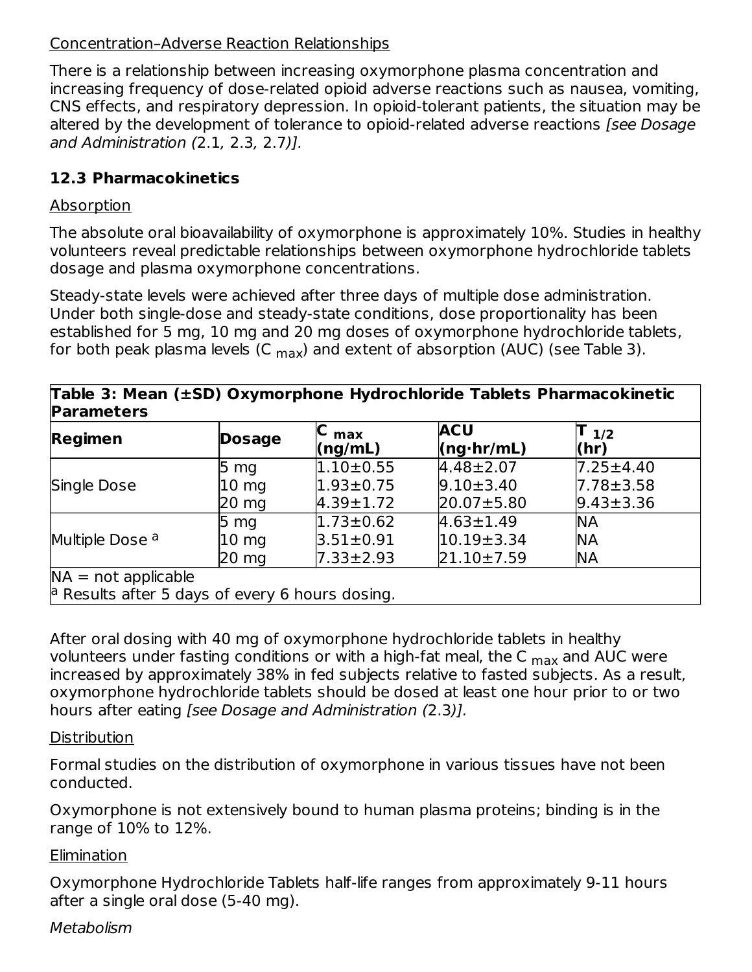#### Concentration–Adverse Reaction Relationships

There is a relationship between increasing oxymorphone plasma concentration and increasing frequency of dose-related opioid adverse reactions such as nausea, vomiting, CNS effects, and respiratory depression. In opioid-tolerant patients, the situation may be altered by the development of tolerance to opioid-related adverse reactions [see Dosage and Administration (2.1, 2.3, 2.7)].

## **12.3 Pharmacokinetics**

### Absorption

The absolute oral bioavailability of oxymorphone is approximately 10%. Studies in healthy volunteers reveal predictable relationships between oxymorphone hydrochloride tablets dosage and plasma oxymorphone concentrations.

Steady-state levels were achieved after three days of multiple dose administration. Under both single-dose and steady-state conditions, dose proportionality has been established for 5 mg, 10 mg and 20 mg doses of oxymorphone hydrochloride tablets, for both peak plasma levels (C <sub>max</sub>) and extent of absorption (AUC) (see Table 3).

**Table 3: Mean (±SD) Oxymorphone Hydrochloride Tablets Pharmacokinetic**

| <b>Regimen</b>                                                                 | <b>Dosage</b>   | $\mathsf{C}$ max<br>(ng/mL) | <b>ACU</b><br>$(ng\cdot hr/mL)$ | 1/2<br>(hr)     |  |
|--------------------------------------------------------------------------------|-----------------|-----------------------------|---------------------------------|-----------------|--|
|                                                                                | 5 $mg$          | $1.10 + 0.55$               | $4.48 \pm 2.07$                 | $7.25 \pm 4.40$ |  |
| Single Dose                                                                    | 10 mg           | $1.93 \pm 0.75$             | $9.10 \pm 3.40$                 | $7.78 \pm 3.58$ |  |
|                                                                                | 20 mg           | 4.39±1.72                   | 20.07±5.80                      | $9.43 \pm 3.36$ |  |
|                                                                                | $5 \text{ mg}$  | $1.73 \pm 0.62$             | $4.63 \pm 1.49$                 | <b>NA</b>       |  |
| Multiple Dose <sup>a</sup>                                                     | $10 \text{ mg}$ | $3.51 \pm 0.91$             | $10.19 \pm 3.34$                | <b>NA</b>       |  |
|                                                                                | $20 \text{ mg}$ | $7.33 \pm 2.93$             | 21.10±7.59                      | <b>NA</b>       |  |
| $NA = not applicable$<br>$\beta$ Results after 5 days of every 6 hours dosing. |                 |                             |                                 |                 |  |

After oral dosing with 40 mg of oxymorphone hydrochloride tablets in healthy volunteers under fasting conditions or with a high-fat meal, the C  $_{\sf max}$  and AUC were increased by approximately 38% in fed subjects relative to fasted subjects. As a result, oxymorphone hydrochloride tablets should be dosed at least one hour prior to or two hours after eating [see Dosage and Administration (2.3)].

# **Distribution**

Formal studies on the distribution of oxymorphone in various tissues have not been conducted.

Oxymorphone is not extensively bound to human plasma proteins; binding is in the range of 10% to 12%.

# Elimination

Oxymorphone Hydrochloride Tablets half-life ranges from approximately 9-11 hours after a single oral dose (5-40 mg).

# Metabolism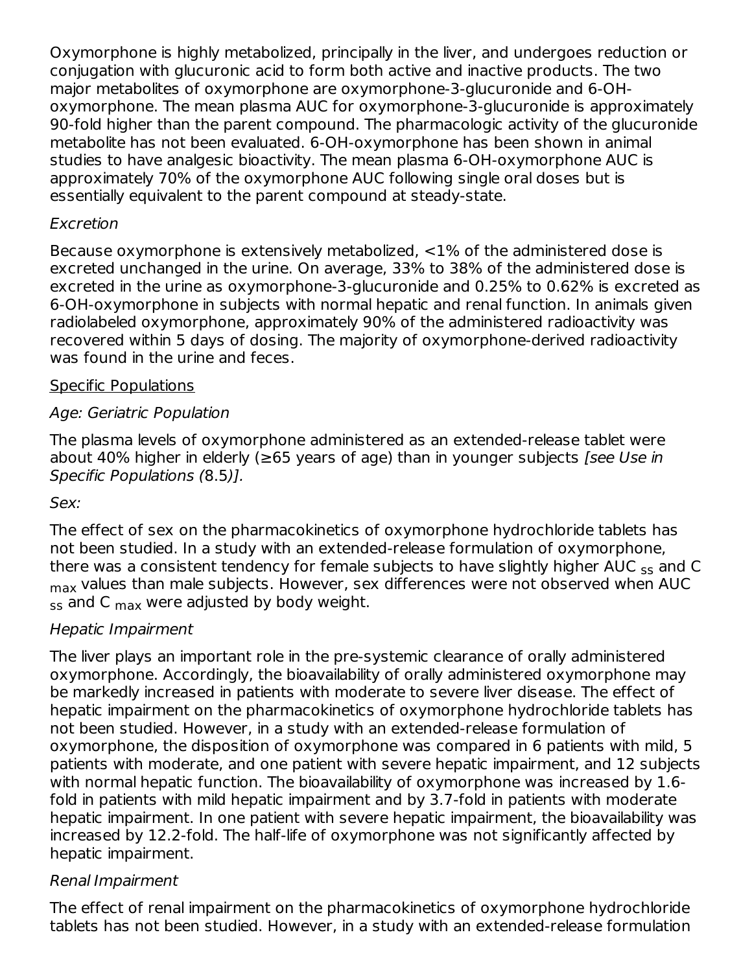Oxymorphone is highly metabolized, principally in the liver, and undergoes reduction or conjugation with glucuronic acid to form both active and inactive products. The two major metabolites of oxymorphone are oxymorphone-3-glucuronide and 6-OHoxymorphone. The mean plasma AUC for oxymorphone-3-glucuronide is approximately 90-fold higher than the parent compound. The pharmacologic activity of the glucuronide metabolite has not been evaluated. 6-OH-oxymorphone has been shown in animal studies to have analgesic bioactivity. The mean plasma 6-OH-oxymorphone AUC is approximately 70% of the oxymorphone AUC following single oral doses but is essentially equivalent to the parent compound at steady-state.

### **Excretion**

Because oxymorphone is extensively metabolized, <1% of the administered dose is excreted unchanged in the urine. On average, 33% to 38% of the administered dose is excreted in the urine as oxymorphone-3-glucuronide and 0.25% to 0.62% is excreted as 6-OH-oxymorphone in subjects with normal hepatic and renal function. In animals given radiolabeled oxymorphone, approximately 90% of the administered radioactivity was recovered within 5 days of dosing. The majority of oxymorphone-derived radioactivity was found in the urine and feces.

#### Specific Populations

#### Age: Geriatric Population

The plasma levels of oxymorphone administered as an extended-release tablet were about 40% higher in elderly ( $\geq 65$  years of age) than in younger subjects [see Use in Specific Populations (8.5)].

#### Sex:

The effect of sex on the pharmacokinetics of oxymorphone hydrochloride tablets has not been studied. In a study with an extended-release formulation of oxymorphone, there was a consistent tendency for female subjects to have slightly higher AUC <sub>ss</sub> and C  $_{\sf max}$  values than male subjects. However, sex differences were not observed when AUC  $_{\rm ss}$  and C  $_{\rm max}$  were adjusted by body weight.

#### Hepatic Impairment

The liver plays an important role in the pre-systemic clearance of orally administered oxymorphone. Accordingly, the bioavailability of orally administered oxymorphone may be markedly increased in patients with moderate to severe liver disease. The effect of hepatic impairment on the pharmacokinetics of oxymorphone hydrochloride tablets has not been studied. However, in a study with an extended-release formulation of oxymorphone, the disposition of oxymorphone was compared in 6 patients with mild, 5 patients with moderate, and one patient with severe hepatic impairment, and 12 subjects with normal hepatic function. The bioavailability of oxymorphone was increased by 1.6 fold in patients with mild hepatic impairment and by 3.7-fold in patients with moderate hepatic impairment. In one patient with severe hepatic impairment, the bioavailability was increased by 12.2-fold. The half-life of oxymorphone was not significantly affected by hepatic impairment.

#### Renal Impairment

The effect of renal impairment on the pharmacokinetics of oxymorphone hydrochloride tablets has not been studied. However, in a study with an extended-release formulation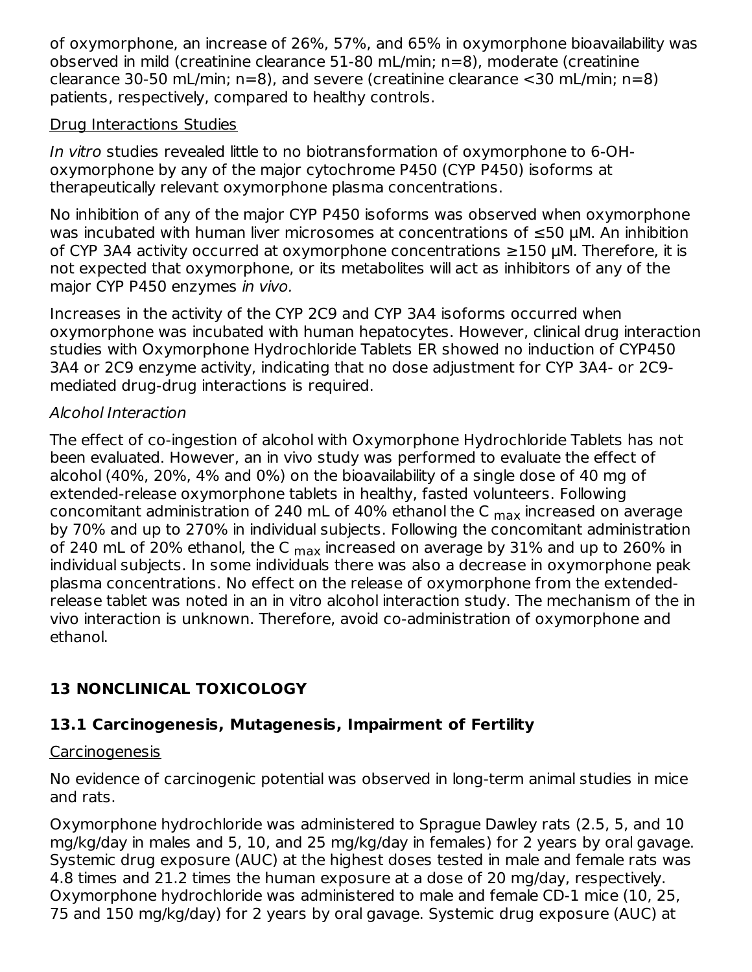of oxymorphone, an increase of 26%, 57%, and 65% in oxymorphone bioavailability was observed in mild (creatinine clearance 51-80 mL/min; n=8), moderate (creatinine clearance 30-50 mL/min; n=8), and severe (creatinine clearance <30 mL/min; n=8) patients, respectively, compared to healthy controls.

#### Drug Interactions Studies

In vitro studies revealed little to no biotransformation of oxymorphone to 6-OHoxymorphone by any of the major cytochrome P450 (CYP P450) isoforms at therapeutically relevant oxymorphone plasma concentrations.

No inhibition of any of the major CYP P450 isoforms was observed when oxymorphone was incubated with human liver microsomes at concentrations of ≤50 µM. An inhibition of CYP 3A4 activity occurred at oxymorphone concentrations ≥150 µM. Therefore, it is not expected that oxymorphone, or its metabolites will act as inhibitors of any of the major CYP P450 enzymes in vivo.

Increases in the activity of the CYP 2C9 and CYP 3A4 isoforms occurred when oxymorphone was incubated with human hepatocytes. However, clinical drug interaction studies with Oxymorphone Hydrochloride Tablets ER showed no induction of CYP450 3A4 or 2C9 enzyme activity, indicating that no dose adjustment for CYP 3A4- or 2C9 mediated drug-drug interactions is required.

## Alcohol Interaction

The effect of co-ingestion of alcohol with Oxymorphone Hydrochloride Tablets has not been evaluated. However, an in vivo study was performed to evaluate the effect of alcohol (40%, 20%, 4% and 0%) on the bioavailability of a single dose of 40 mg of extended-release oxymorphone tablets in healthy, fasted volunteers. Following concomitant administration of 240 mL of 40% ethanol the C <sub>max</sub> increased on average by 70% and up to 270% in individual subjects. Following the concomitant administration of 240 mL of 20% ethanol, the C  $_{\sf max}$  increased on average by 31% and up to 260% in individual subjects. In some individuals there was also a decrease in oxymorphone peak plasma concentrations. No effect on the release of oxymorphone from the extendedrelease tablet was noted in an in vitro alcohol interaction study. The mechanism of the in vivo interaction is unknown. Therefore, avoid co-administration of oxymorphone and ethanol.

# **13 NONCLINICAL TOXICOLOGY**

# **13.1 Carcinogenesis, Mutagenesis, Impairment of Fertility**

## Carcinogenesis

No evidence of carcinogenic potential was observed in long-term animal studies in mice and rats.

Oxymorphone hydrochloride was administered to Sprague Dawley rats (2.5, 5, and 10 mg/kg/day in males and 5, 10, and 25 mg/kg/day in females) for 2 years by oral gavage. Systemic drug exposure (AUC) at the highest doses tested in male and female rats was 4.8 times and 21.2 times the human exposure at a dose of 20 mg/day, respectively. Oxymorphone hydrochloride was administered to male and female CD-1 mice (10, 25, 75 and 150 mg/kg/day) for 2 years by oral gavage. Systemic drug exposure (AUC) at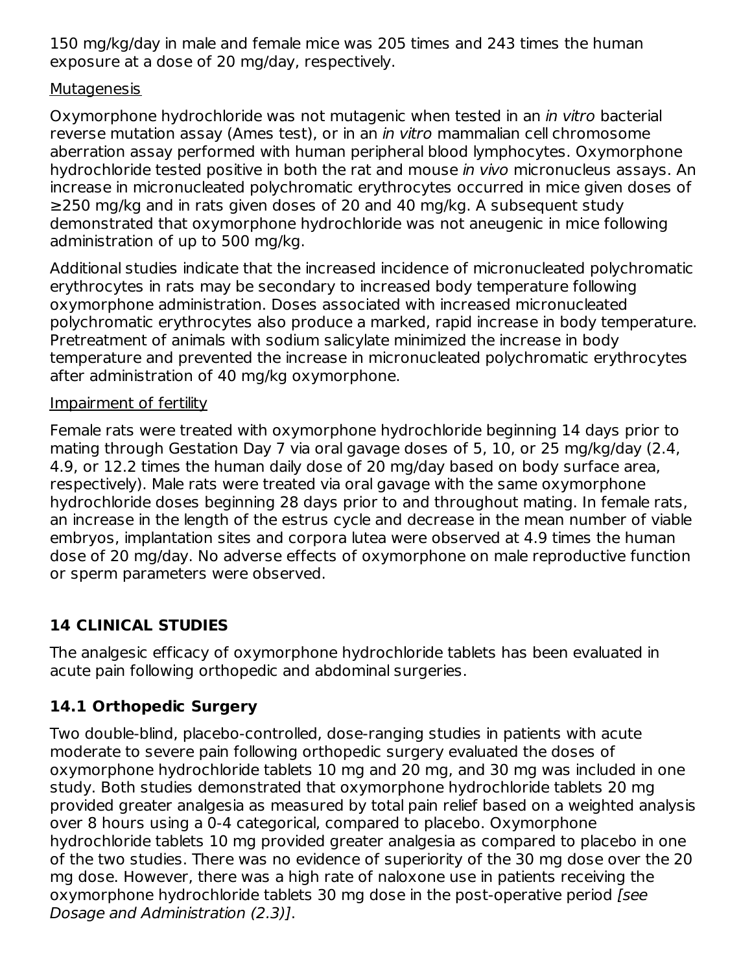150 mg/kg/day in male and female mice was 205 times and 243 times the human exposure at a dose of 20 mg/day, respectively.

#### **Mutagenesis**

Oxymorphone hydrochloride was not mutagenic when tested in an *in vitro* bacterial reverse mutation assay (Ames test), or in an *in vitro* mammalian cell chromosome aberration assay performed with human peripheral blood lymphocytes. Oxymorphone hydrochloride tested positive in both the rat and mouse in vivo micronucleus assays. An increase in micronucleated polychromatic erythrocytes occurred in mice given doses of ≥250 mg/kg and in rats given doses of 20 and 40 mg/kg. A subsequent study demonstrated that oxymorphone hydrochloride was not aneugenic in mice following administration of up to 500 mg/kg.

Additional studies indicate that the increased incidence of micronucleated polychromatic erythrocytes in rats may be secondary to increased body temperature following oxymorphone administration. Doses associated with increased micronucleated polychromatic erythrocytes also produce a marked, rapid increase in body temperature. Pretreatment of animals with sodium salicylate minimized the increase in body temperature and prevented the increase in micronucleated polychromatic erythrocytes after administration of 40 mg/kg oxymorphone.

### Impairment of fertility

Female rats were treated with oxymorphone hydrochloride beginning 14 days prior to mating through Gestation Day 7 via oral gavage doses of 5, 10, or 25 mg/kg/day (2.4, 4.9, or 12.2 times the human daily dose of 20 mg/day based on body surface area, respectively). Male rats were treated via oral gavage with the same oxymorphone hydrochloride doses beginning 28 days prior to and throughout mating. In female rats, an increase in the length of the estrus cycle and decrease in the mean number of viable embryos, implantation sites and corpora lutea were observed at 4.9 times the human dose of 20 mg/day. No adverse effects of oxymorphone on male reproductive function or sperm parameters were observed.

# **14 CLINICAL STUDIES**

The analgesic efficacy of oxymorphone hydrochloride tablets has been evaluated in acute pain following orthopedic and abdominal surgeries.

# **14.1 Orthopedic Surgery**

Two double-blind, placebo-controlled, dose-ranging studies in patients with acute moderate to severe pain following orthopedic surgery evaluated the doses of oxymorphone hydrochloride tablets 10 mg and 20 mg, and 30 mg was included in one study. Both studies demonstrated that oxymorphone hydrochloride tablets 20 mg provided greater analgesia as measured by total pain relief based on a weighted analysis over 8 hours using a 0-4 categorical, compared to placebo. Oxymorphone hydrochloride tablets 10 mg provided greater analgesia as compared to placebo in one of the two studies. There was no evidence of superiority of the 30 mg dose over the 20 mg dose. However, there was a high rate of naloxone use in patients receiving the oxymorphone hydrochloride tablets 30 mg dose in the post-operative period [see Dosage and Administration (2.3)].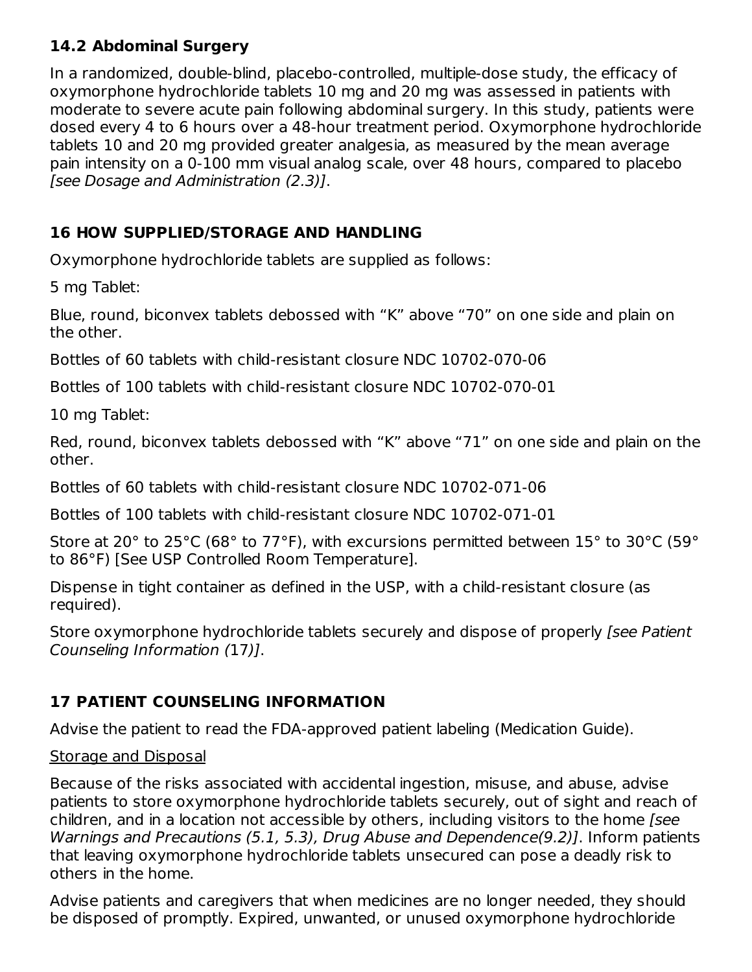# **14.2 Abdominal Surgery**

In a randomized, double-blind, placebo-controlled, multiple-dose study, the efficacy of oxymorphone hydrochloride tablets 10 mg and 20 mg was assessed in patients with moderate to severe acute pain following abdominal surgery. In this study, patients were dosed every 4 to 6 hours over a 48-hour treatment period. Oxymorphone hydrochloride tablets 10 and 20 mg provided greater analgesia, as measured by the mean average pain intensity on a 0-100 mm visual analog scale, over 48 hours, compared to placebo [see Dosage and Administration (2.3)].

## **16 HOW SUPPLIED/STORAGE AND HANDLING**

Oxymorphone hydrochloride tablets are supplied as follows:

5 mg Tablet:

Blue, round, biconvex tablets debossed with "K" above "70" on one side and plain on the other.

Bottles of 60 tablets with child-resistant closure NDC 10702-070-06

Bottles of 100 tablets with child-resistant closure NDC 10702-070-01

10 mg Tablet:

Red, round, biconvex tablets debossed with "K" above "71" on one side and plain on the other.

Bottles of 60 tablets with child-resistant closure NDC 10702-071-06

Bottles of 100 tablets with child-resistant closure NDC 10702-071-01

Store at 20° to 25°C (68° to 77°F), with excursions permitted between 15° to 30°C (59° to 86°F) [See USP Controlled Room Temperature].

Dispense in tight container as defined in the USP, with a child-resistant closure (as required).

Store oxymorphone hydrochloride tablets securely and dispose of properly [see Patient Counseling Information (17)].

# **17 PATIENT COUNSELING INFORMATION**

Advise the patient to read the FDA-approved patient labeling (Medication Guide).

## Storage and Disposal

Because of the risks associated with accidental ingestion, misuse, and abuse, advise patients to store oxymorphone hydrochloride tablets securely, out of sight and reach of children, and in a location not accessible by others, including visitors to the home [see Warnings and Precautions (5.1, 5.3), Drug Abuse and Dependence(9.2)]. Inform patients that leaving oxymorphone hydrochloride tablets unsecured can pose a deadly risk to others in the home.

Advise patients and caregivers that when medicines are no longer needed, they should be disposed of promptly. Expired, unwanted, or unused oxymorphone hydrochloride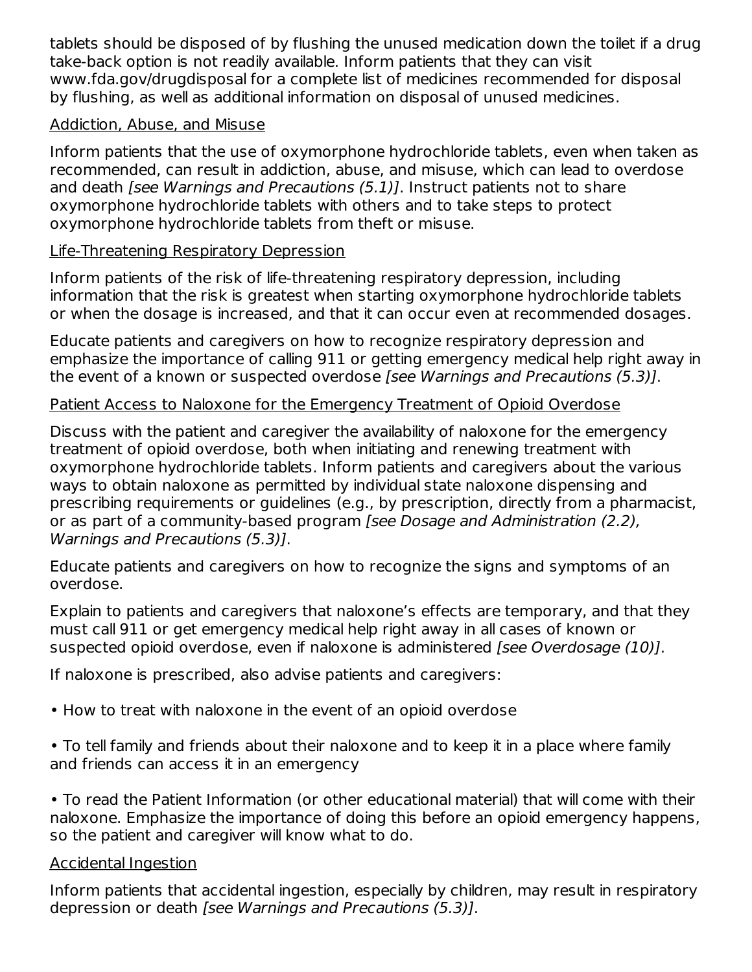tablets should be disposed of by flushing the unused medication down the toilet if a drug take-back option is not readily available. Inform patients that they can visit www.fda.gov/drugdisposal for a complete list of medicines recommended for disposal by flushing, as well as additional information on disposal of unused medicines.

#### Addiction, Abuse, and Misuse

Inform patients that the use of oxymorphone hydrochloride tablets, even when taken as recommended, can result in addiction, abuse, and misuse, which can lead to overdose and death [see Warnings and Precautions (5.1)]. Instruct patients not to share oxymorphone hydrochloride tablets with others and to take steps to protect oxymorphone hydrochloride tablets from theft or misuse.

#### Life-Threatening Respiratory Depression

Inform patients of the risk of life-threatening respiratory depression, including information that the risk is greatest when starting oxymorphone hydrochloride tablets or when the dosage is increased, and that it can occur even at recommended dosages.

Educate patients and caregivers on how to recognize respiratory depression and emphasize the importance of calling 911 or getting emergency medical help right away in the event of a known or suspected overdose [see Warnings and Precautions (5.3)].

#### Patient Access to Naloxone for the Emergency Treatment of Opioid Overdose

Discuss with the patient and caregiver the availability of naloxone for the emergency treatment of opioid overdose, both when initiating and renewing treatment with oxymorphone hydrochloride tablets. Inform patients and caregivers about the various ways to obtain naloxone as permitted by individual state naloxone dispensing and prescribing requirements or guidelines (e.g., by prescription, directly from a pharmacist, or as part of a community-based program [see Dosage and Administration (2.2), Warnings and Precautions (5.3)].

Educate patients and caregivers on how to recognize the signs and symptoms of an overdose.

Explain to patients and caregivers that naloxone's effects are temporary, and that they must call 911 or get emergency medical help right away in all cases of known or suspected opioid overdose, even if naloxone is administered [see Overdosage (10)].

If naloxone is prescribed, also advise patients and caregivers:

- How to treat with naloxone in the event of an opioid overdose
- To tell family and friends about their naloxone and to keep it in a place where family and friends can access it in an emergency

• To read the Patient Information (or other educational material) that will come with their naloxone. Emphasize the importance of doing this before an opioid emergency happens, so the patient and caregiver will know what to do.

#### Accidental Ingestion

Inform patients that accidental ingestion, especially by children, may result in respiratory depression or death [see Warnings and Precautions (5.3)].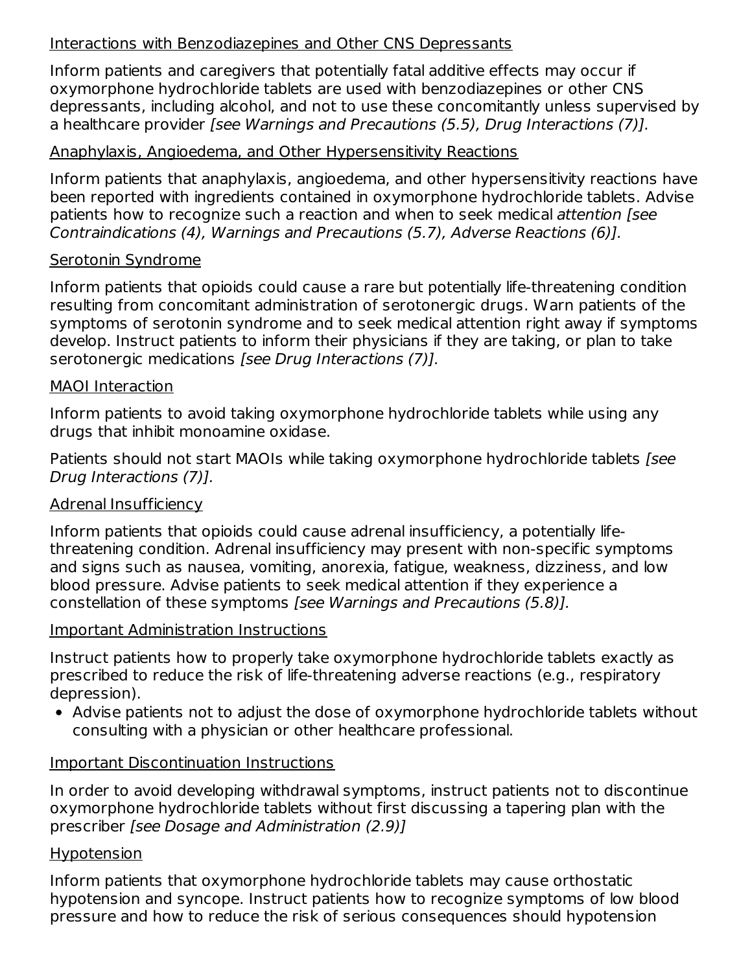#### Interactions with Benzodiazepines and Other CNS Depressants

Inform patients and caregivers that potentially fatal additive effects may occur if oxymorphone hydrochloride tablets are used with benzodiazepines or other CNS depressants, including alcohol, and not to use these concomitantly unless supervised by a healthcare provider [see Warnings and Precautions (5.5), Drug Interactions (7)].

#### Anaphylaxis, Angioedema, and Other Hypersensitivity Reactions

Inform patients that anaphylaxis, angioedema, and other hypersensitivity reactions have been reported with ingredients contained in oxymorphone hydrochloride tablets. Advise patients how to recognize such a reaction and when to seek medical attention [see Contraindications (4), Warnings and Precautions (5.7), Adverse Reactions (6)].

#### Serotonin Syndrome

Inform patients that opioids could cause a rare but potentially life-threatening condition resulting from concomitant administration of serotonergic drugs. Warn patients of the symptoms of serotonin syndrome and to seek medical attention right away if symptoms develop. Instruct patients to inform their physicians if they are taking, or plan to take serotonergic medications [see Drug Interactions (7)].

#### MAOI Interaction

Inform patients to avoid taking oxymorphone hydrochloride tablets while using any drugs that inhibit monoamine oxidase.

Patients should not start MAOIs while taking oxymorphone hydrochloride tablets [see Drug Interactions (7)].

#### Adrenal Insufficiency

Inform patients that opioids could cause adrenal insufficiency, a potentially lifethreatening condition. Adrenal insufficiency may present with non-specific symptoms and signs such as nausea, vomiting, anorexia, fatigue, weakness, dizziness, and low blood pressure. Advise patients to seek medical attention if they experience a constellation of these symptoms [see Warnings and Precautions (5.8)].

#### Important Administration Instructions

Instruct patients how to properly take oxymorphone hydrochloride tablets exactly as prescribed to reduce the risk of life-threatening adverse reactions (e.g., respiratory depression).

Advise patients not to adjust the dose of oxymorphone hydrochloride tablets without consulting with a physician or other healthcare professional.

#### Important Discontinuation Instructions

In order to avoid developing withdrawal symptoms, instruct patients not to discontinue oxymorphone hydrochloride tablets without first discussing a tapering plan with the prescriber [see Dosage and Administration (2.9)]

#### Hypotension

Inform patients that oxymorphone hydrochloride tablets may cause orthostatic hypotension and syncope. Instruct patients how to recognize symptoms of low blood pressure and how to reduce the risk of serious consequences should hypotension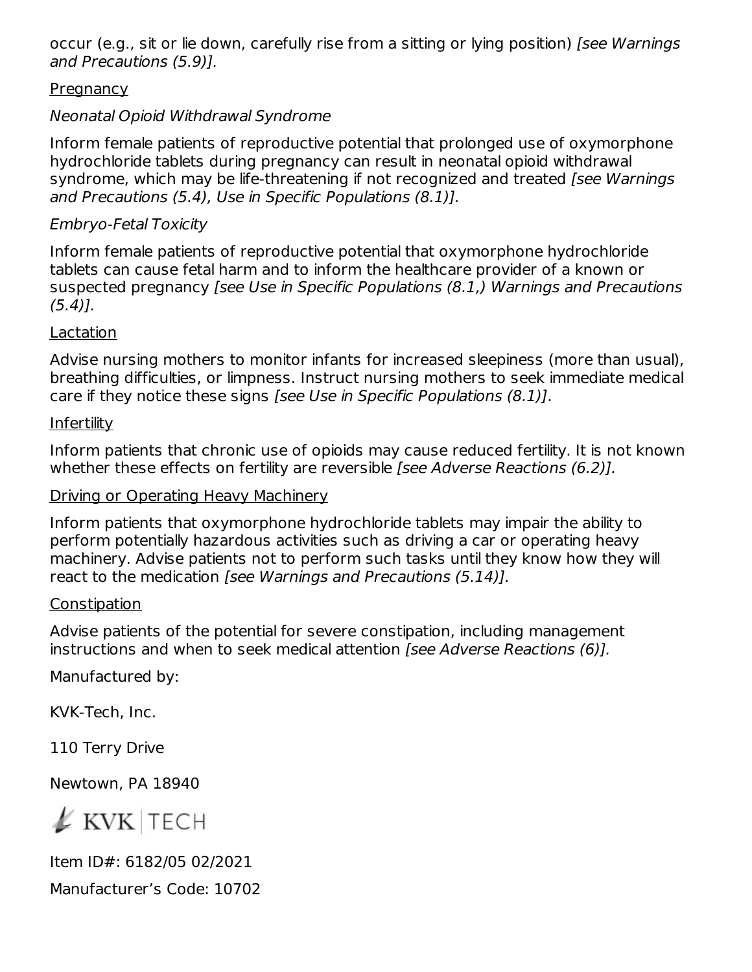occur (e.g., sit or lie down, carefully rise from a sitting or lying position) [see Warnings and Precautions (5.9)].

### **Pregnancy**

### Neonatal Opioid Withdrawal Syndrome

Inform female patients of reproductive potential that prolonged use of oxymorphone hydrochloride tablets during pregnancy can result in neonatal opioid withdrawal syndrome, which may be life-threatening if not recognized and treated [see Warnings] and Precautions (5.4), Use in Specific Populations (8.1)].

### Embryo-Fetal Toxicity

Inform female patients of reproductive potential that oxymorphone hydrochloride tablets can cause fetal harm and to inform the healthcare provider of a known or suspected pregnancy [see Use in Specific Populations (8.1,) Warnings and Precautions  $(5.4)$ .

#### Lactation

Advise nursing mothers to monitor infants for increased sleepiness (more than usual), breathing difficulties, or limpness. Instruct nursing mothers to seek immediate medical care if they notice these signs [see Use in Specific Populations (8.1)].

#### **Infertility**

Inform patients that chronic use of opioids may cause reduced fertility. It is not known whether these effects on fertility are reversible [see Adverse Reactions (6.2)].

#### Driving or Operating Heavy Machinery

Inform patients that oxymorphone hydrochloride tablets may impair the ability to perform potentially hazardous activities such as driving a car or operating heavy machinery. Advise patients not to perform such tasks until they know how they will react to the medication [see Warnings and Precautions (5.14)].

#### Constipation

Advise patients of the potential for severe constipation, including management instructions and when to seek medical attention *[see Adverse Reactions (6)].* 

Manufactured by:

KVK-Tech, Inc.

110 Terry Drive

Newtown, PA 18940



Item ID#: 6182/05 02/2021 Manufacturer's Code: 10702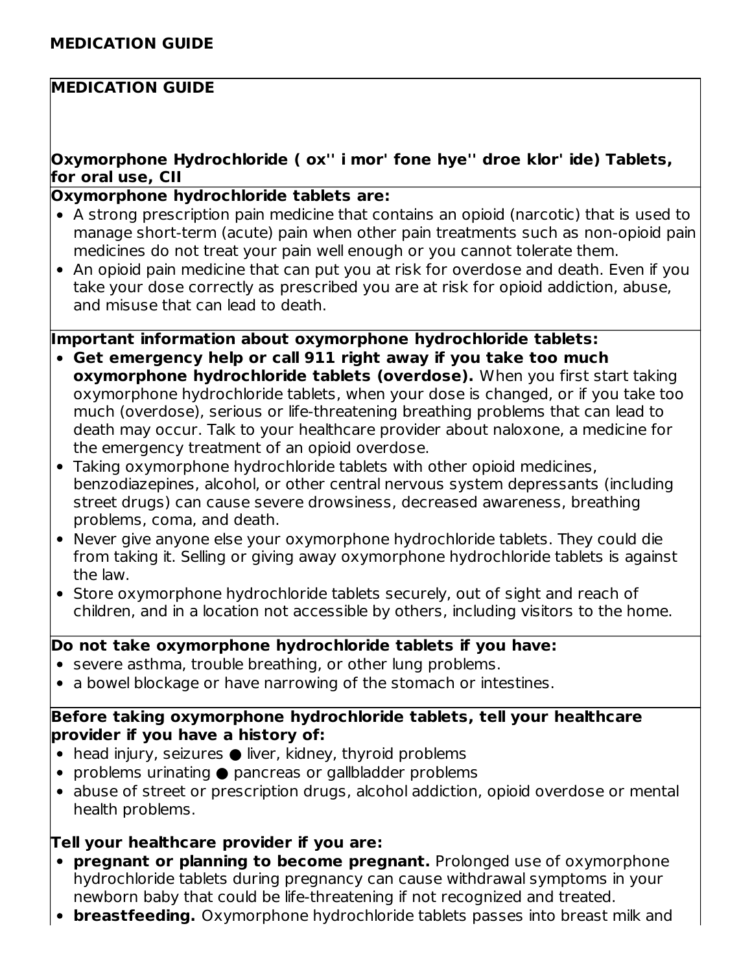#### **MEDICATION GUIDE**

#### **Oxymorphone Hydrochloride ( ox'' i mor' fone hye'' droe klor' ide) Tablets, for oral use, CII**

**Oxymorphone hydrochloride tablets are:**

- A strong prescription pain medicine that contains an opioid (narcotic) that is used to manage short-term (acute) pain when other pain treatments such as non-opioid pain medicines do not treat your pain well enough or you cannot tolerate them.
- An opioid pain medicine that can put you at risk for overdose and death. Even if you take your dose correctly as prescribed you are at risk for opioid addiction, abuse, and misuse that can lead to death.

### **Important information about oxymorphone hydrochloride tablets:**

- **Get emergency help or call 911 right away if you take too much oxymorphone hydrochloride tablets (overdose).** When you first start taking oxymorphone hydrochloride tablets, when your dose is changed, or if you take too much (overdose), serious or life-threatening breathing problems that can lead to death may occur. Talk to your healthcare provider about naloxone, a medicine for the emergency treatment of an opioid overdose.
- Taking oxymorphone hydrochloride tablets with other opioid medicines, benzodiazepines, alcohol, or other central nervous system depressants (including street drugs) can cause severe drowsiness, decreased awareness, breathing problems, coma, and death.
- Never give anyone else your oxymorphone hydrochloride tablets. They could die from taking it. Selling or giving away oxymorphone hydrochloride tablets is against the law.
- Store oxymorphone hydrochloride tablets securely, out of sight and reach of children, and in a location not accessible by others, including visitors to the home.

#### **Do not take oxymorphone hydrochloride tablets if you have:**

- severe asthma, trouble breathing, or other lung problems.
- a bowel blockage or have narrowing of the stomach or intestines.

#### **Before taking oxymorphone hydrochloride tablets, tell your healthcare provider if you have a history of:**

- head injury, seizures liver, kidney, thyroid problems
- problems urinating pancreas or gallbladder problems
- abuse of street or prescription drugs, alcohol addiction, opioid overdose or mental health problems.

#### **Tell your healthcare provider if you are:**

- **pregnant or planning to become pregnant.** Prolonged use of oxymorphone hydrochloride tablets during pregnancy can cause withdrawal symptoms in your newborn baby that could be life-threatening if not recognized and treated.
- **breastfeeding.** Oxymorphone hydrochloride tablets passes into breast milk and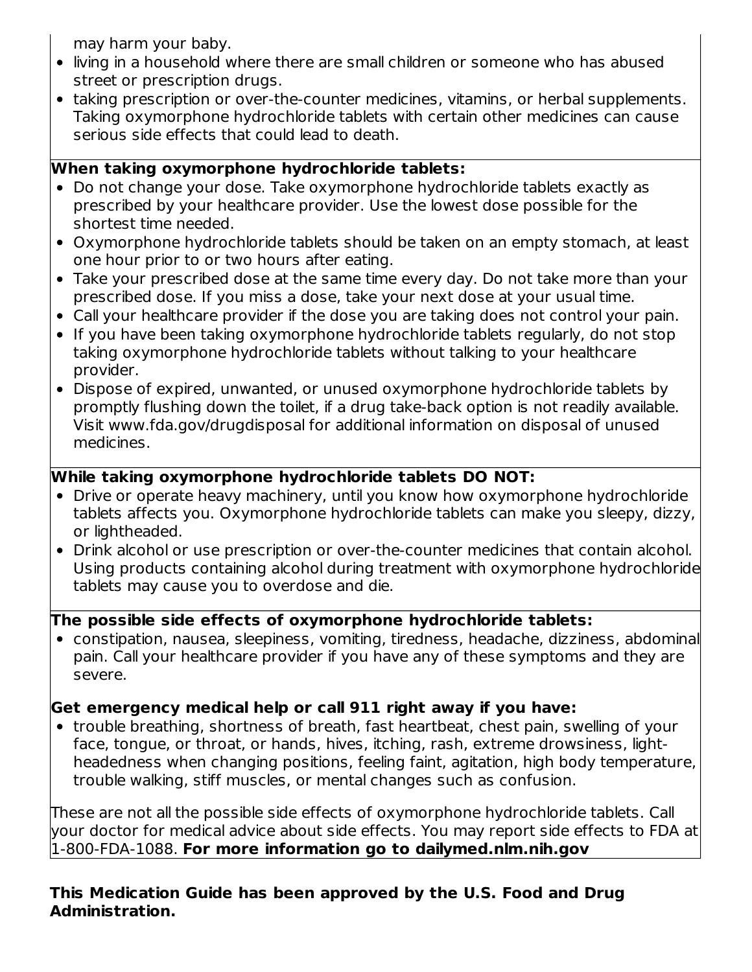may harm your baby.

- living in a household where there are small children or someone who has abused street or prescription drugs.
- taking prescription or over-the-counter medicines, vitamins, or herbal supplements. Taking oxymorphone hydrochloride tablets with certain other medicines can cause serious side effects that could lead to death.

# **When taking oxymorphone hydrochloride tablets:**

- Do not change your dose. Take oxymorphone hydrochloride tablets exactly as prescribed by your healthcare provider. Use the lowest dose possible for the shortest time needed.
- Oxymorphone hydrochloride tablets should be taken on an empty stomach, at least one hour prior to or two hours after eating.
- Take your prescribed dose at the same time every day. Do not take more than your prescribed dose. If you miss a dose, take your next dose at your usual time.
- Call your healthcare provider if the dose you are taking does not control your pain.
- If you have been taking oxymorphone hydrochloride tablets regularly, do not stop taking oxymorphone hydrochloride tablets without talking to your healthcare provider.
- Dispose of expired, unwanted, or unused oxymorphone hydrochloride tablets by promptly flushing down the toilet, if a drug take-back option is not readily available. Visit www.fda.gov/drugdisposal for additional information on disposal of unused medicines.

# **While taking oxymorphone hydrochloride tablets DO NOT:**

- Drive or operate heavy machinery, until you know how oxymorphone hydrochloride tablets affects you. Oxymorphone hydrochloride tablets can make you sleepy, dizzy, or lightheaded.
- Drink alcohol or use prescription or over-the-counter medicines that contain alcohol. Using products containing alcohol during treatment with oxymorphone hydrochloride tablets may cause you to overdose and die.

# **The possible side effects of oxymorphone hydrochloride tablets:**

constipation, nausea, sleepiness, vomiting, tiredness, headache, dizziness, abdominal pain. Call your healthcare provider if you have any of these symptoms and they are severe.

# **Get emergency medical help or call 911 right away if you have:**

trouble breathing, shortness of breath, fast heartbeat, chest pain, swelling of your face, tongue, or throat, or hands, hives, itching, rash, extreme drowsiness, lightheadedness when changing positions, feeling faint, agitation, high body temperature, trouble walking, stiff muscles, or mental changes such as confusion.

These are not all the possible side effects of oxymorphone hydrochloride tablets. Call your doctor for medical advice about side effects. You may report side effects to FDA at 1-800-FDA-1088. **For more information go to dailymed.nlm.nih.gov**

**This Medication Guide has been approved by the U.S. Food and Drug Administration.**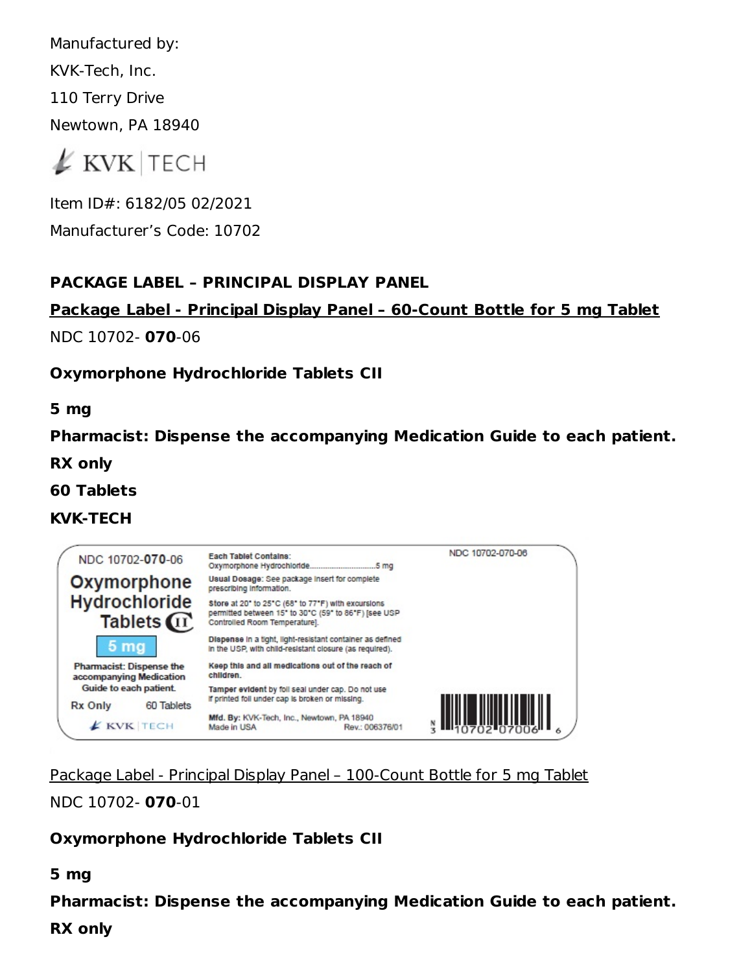Manufactured by: KVK-Tech, Inc. 110 Terry Drive Newtown, PA 18940



Item ID#: 6182/05 02/2021 Manufacturer's Code: 10702

### **PACKAGE LABEL – PRINCIPAL DISPLAY PANEL**

### **Package Label - Principal Display Panel – 60-Count Bottle for 5 mg Tablet**

NDC 10702- **070**-06

### **Oxymorphone Hydrochloride Tablets CII**

**5 mg**

**Pharmacist: Dispense the accompanying Medication Guide to each patient. RX only**

**60 Tablets**

#### **KVK-TECH**



Package Label - Principal Display Panel – 100-Count Bottle for 5 mg Tablet NDC 10702- **070**-01

## **Oxymorphone Hydrochloride Tablets CII**

#### **5 mg**

**Pharmacist: Dispense the accompanying Medication Guide to each patient.**

#### **RX only**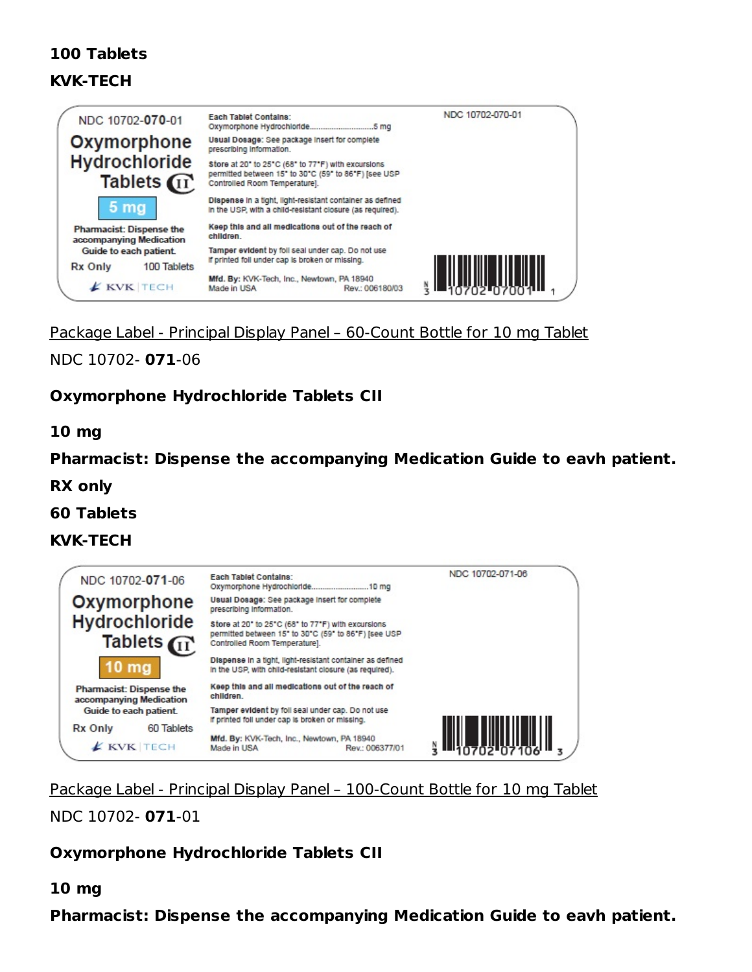### **100 Tablets**

### **KVK-TECH**



Package Label - Principal Display Panel – 60-Count Bottle for 10 mg Tablet

#### NDC 10702- **071**-06

### **Oxymorphone Hydrochloride Tablets CII**

#### **10 mg**

**Pharmacist: Dispense the accompanying Medication Guide to eavh patient.**

- **RX only**
- **60 Tablets**
- **KVK-TECH**



Package Label - Principal Display Panel – 100-Count Bottle for 10 mg Tablet NDC 10702- **071**-01

#### **Oxymorphone Hydrochloride Tablets CII**

#### **10 mg**

**Pharmacist: Dispense the accompanying Medication Guide to eavh patient.**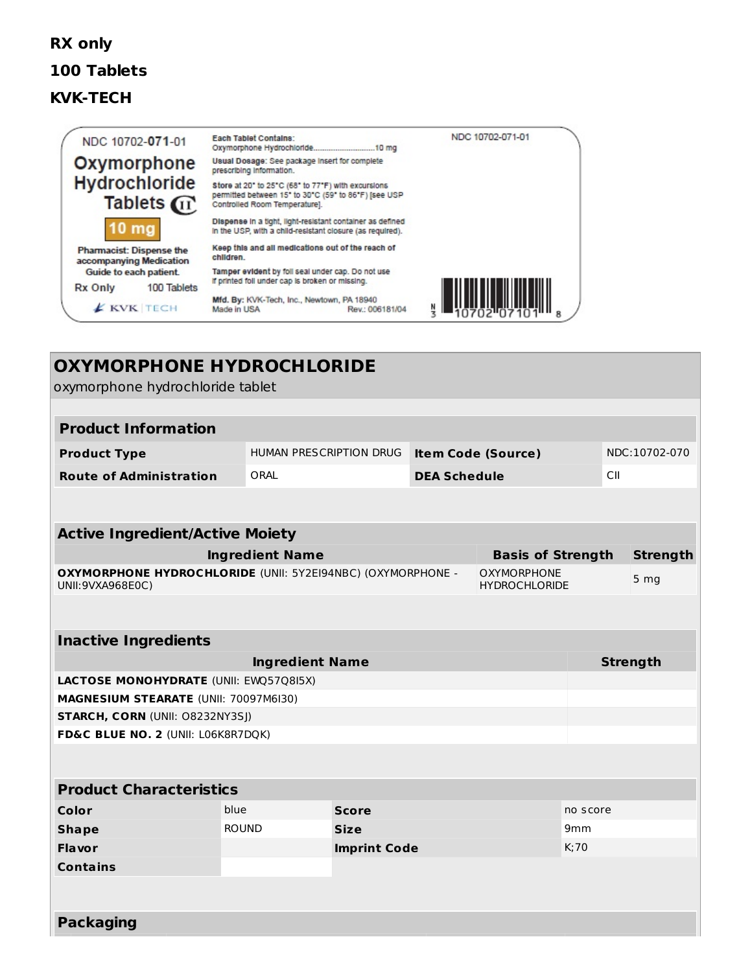# **RX only 100 Tablets KVK-TECH**



# **OXYMORPHONE HYDROCHLORIDE** oxymorphone hydrochloride tablet **Product Information Product Type** HUMAN PRESCRIPTION DRUG **Item Code (Source)** NDC:10702-070 **Route of Administration** ORAL **DEA Schedule** CII **Active Ingredient/Active Moiety Ingredient Name Basis of Strength Strength OXYMORPHONE HYDROCHLORIDE** (UNII: 5Y2EI94NBC) (OXYMORPHONE - UNII:9VXA968E0C) OXYMORPHONE HYDROCHLORIDE 5 mg **Inactive Ingredients Ingredient Name Strength LACTOSE MONOHYDRATE** (UNII: EWQ57Q8I5X) **MAGNESIUM STEARATE** (UNII: 70097M6I30) **STARCH, CORN** (UNII: O8232NY3SJ) **FD&C BLUE NO. 2** (UNII: L06K8R7DQK) **Product Characteristics Color** blue **Score Score no score no score Shape** ROUND **Size** 9mm **Flavor Imprint Code** K;70 **Contains Packaging**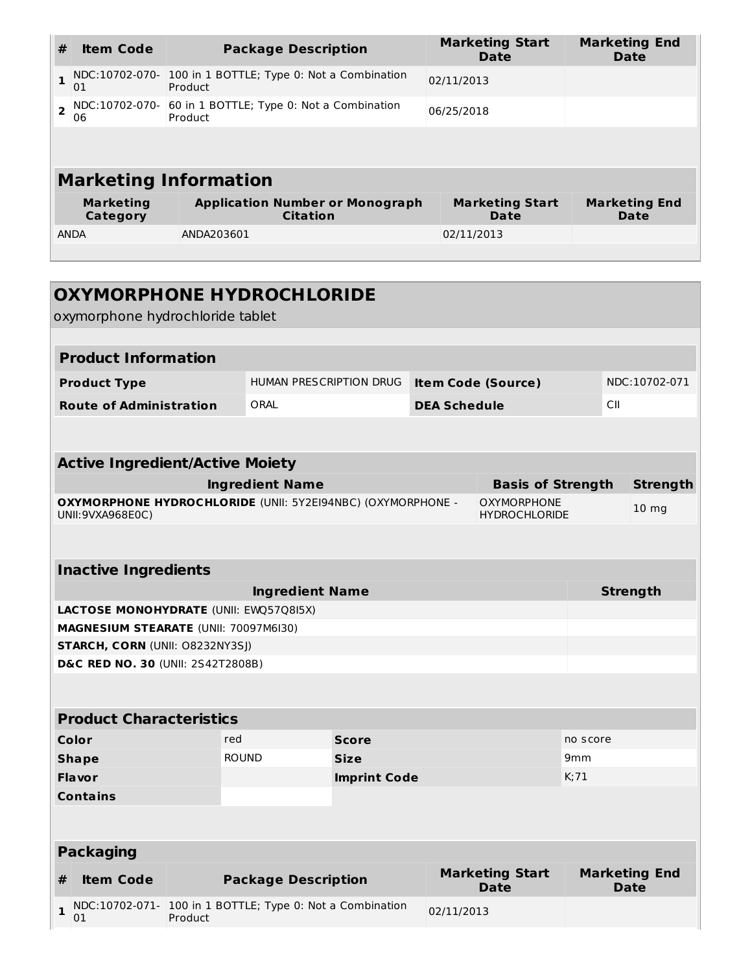| # | <b>Item Code</b>             | <b>Package Description</b>                                | <b>Marketing Start</b><br>Date | <b>Marketing End</b><br>Date |  |  |
|---|------------------------------|-----------------------------------------------------------|--------------------------------|------------------------------|--|--|
|   | NDC:10702-070-<br>01         | 100 in 1 BOTTLE; Type 0: Not a Combination<br>Product     | 02/11/2013                     |                              |  |  |
|   | NDC:10702-070-<br>06         | 60 in 1 BOTTLE; Type 0: Not a Combination<br>Product      | 06/25/2018                     |                              |  |  |
|   |                              |                                                           |                                |                              |  |  |
|   | <b>Marketing Information</b> |                                                           |                                |                              |  |  |
|   | <b>Marketing</b><br>Category | <b>Application Number or Monograph</b><br><b>Citation</b> | <b>Marketing Start</b><br>Date | <b>Marketing End</b><br>Date |  |  |
|   | <b>ANDA</b>                  | ANDA203601                                                | 02/11/2013                     |                              |  |  |
|   |                              |                                                           |                                |                              |  |  |

|                  | <b>OXYMORPHONE HYDROCHLORIDE</b><br>oxymorphone hydrochloride tablet        |              |                                                             |              |                     |                                            |               |                                     |
|------------------|-----------------------------------------------------------------------------|--------------|-------------------------------------------------------------|--------------|---------------------|--------------------------------------------|---------------|-------------------------------------|
|                  |                                                                             |              |                                                             |              |                     |                                            |               |                                     |
|                  | <b>Product Information</b>                                                  |              |                                                             |              |                     |                                            |               |                                     |
|                  | <b>Product Type</b>                                                         |              | HUMAN PRESCRIPTION DRUG                                     |              |                     | <b>Item Code (Source)</b>                  | NDC:10702-071 |                                     |
|                  | <b>Route of Administration</b>                                              |              | ORAL                                                        |              | <b>DEA Schedule</b> |                                            | <b>CII</b>    |                                     |
|                  |                                                                             |              |                                                             |              |                     |                                            |               |                                     |
|                  | <b>Active Ingredient/Active Moiety</b>                                      |              |                                                             |              |                     |                                            |               |                                     |
|                  |                                                                             |              | <b>Ingredient Name</b>                                      |              |                     | <b>Basis of Strength</b>                   |               | <b>Strength</b>                     |
|                  | UNII:9VXA968E0C)                                                            |              | OXYMORPHONE HYDROCHLORIDE (UNII: 5Y2EI94NBC) (OXYMORPHONE - |              |                     | <b>OXYMORPHONE</b><br><b>HYDROCHLORIDE</b> |               | 10 <sub>mg</sub>                    |
|                  |                                                                             |              |                                                             |              |                     |                                            |               |                                     |
|                  |                                                                             |              |                                                             |              |                     |                                            |               |                                     |
|                  | <b>Inactive Ingredients</b>                                                 |              |                                                             |              |                     |                                            |               |                                     |
|                  | <b>Strength</b><br><b>Ingredient Name</b>                                   |              |                                                             |              |                     |                                            |               |                                     |
|                  | LACTOSE MONOHYDRATE (UNII: EWQ57Q8I5X)                                      |              |                                                             |              |                     |                                            |               |                                     |
|                  | MAGNESIUM STEARATE (UNII: 70097M6I30)                                       |              |                                                             |              |                     |                                            |               |                                     |
|                  | <b>STARCH, CORN (UNII: O8232NY3SJ)</b><br>D&C RED NO. 30 (UNII: 2S42T2808B) |              |                                                             |              |                     |                                            |               |                                     |
|                  |                                                                             |              |                                                             |              |                     |                                            |               |                                     |
|                  |                                                                             |              |                                                             |              |                     |                                            |               |                                     |
|                  | <b>Product Characteristics</b>                                              |              |                                                             |              |                     |                                            |               |                                     |
|                  | Color                                                                       |              | red                                                         | <b>Score</b> |                     |                                            | no score      |                                     |
| <b>Shape</b>     |                                                                             | <b>ROUND</b> | <b>Size</b>                                                 |              | 9 <sub>mm</sub>     |                                            |               |                                     |
|                  | <b>Flavor</b><br>K:71<br><b>Imprint Code</b><br><b>Contains</b>             |              |                                                             |              |                     |                                            |               |                                     |
|                  |                                                                             |              |                                                             |              |                     |                                            |               |                                     |
|                  |                                                                             |              |                                                             |              |                     |                                            |               |                                     |
| <b>Packaging</b> |                                                                             |              |                                                             |              |                     |                                            |               |                                     |
| #                | <b>Item Code</b>                                                            |              | <b>Package Description</b>                                  |              |                     | <b>Marketing Start</b><br><b>Date</b>      |               | <b>Marketing End</b><br><b>Date</b> |
| $\mathbf{1}$     | NDC:10702-071-<br>01                                                        | Product      | 100 in 1 BOTTLE; Type 0: Not a Combination                  |              | 02/11/2013          |                                            |               |                                     |
|                  |                                                                             |              |                                                             |              |                     |                                            |               |                                     |